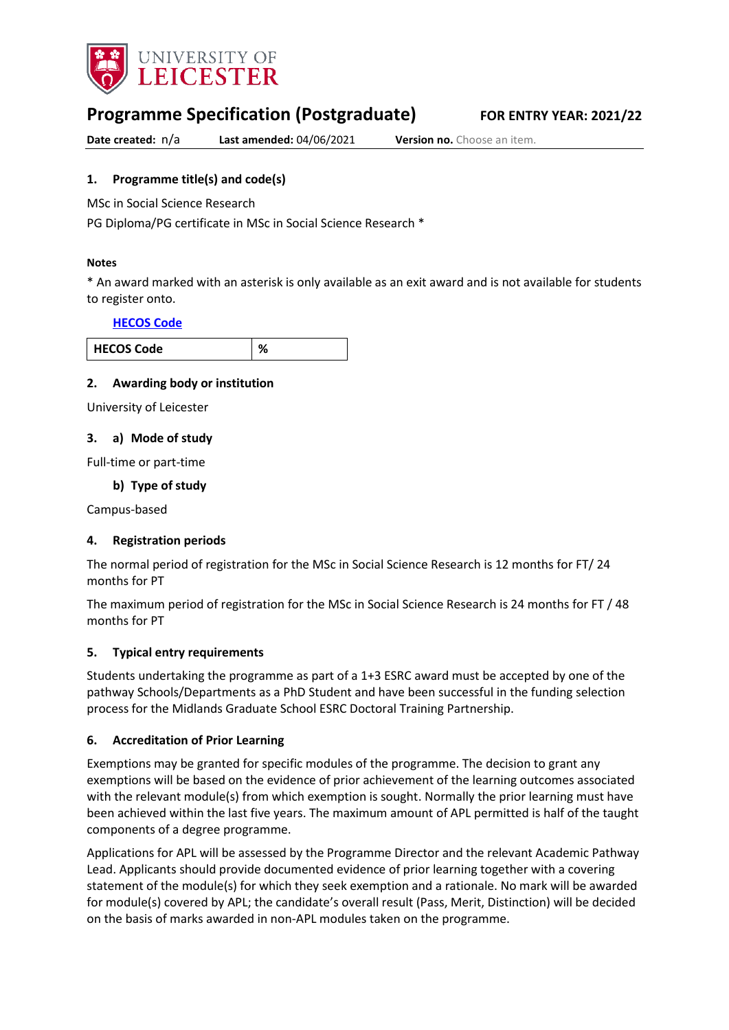

# **Programme Specification (Postgraduate) FOR ENTRY YEAR: 2021/22**

**Date created:**  $n/a$  **Last amended: 04/06/2021 <b>Version no.** Choose an item.

#### <span id="page-0-0"></span>**1. Programme title(s) and code(s)**

MSc in Social Science Research

PG Diploma/PG certificate in MSc in Social Science Research \*

#### **Notes**

\* An award marked with an asterisk is only available as an exit award and is not available for students to register onto.

#### **[HECOS Code](https://www.hesa.ac.uk/innovation/hecos)**

| ∍de |  |
|-----|--|

#### **2. Awarding body or institution**

University of Leicester

#### **3. a) Mode of study**

Full-time or part-time

#### **b) Type of study**

Campus-based

#### **4. Registration periods**

The normal period of registration for the MSc in Social Science Research is 12 months for FT/ 24 months for PT

The maximum period of registration for the MSc in Social Science Research is 24 months for FT / 48 months for PT

#### **5. Typical entry requirements**

Students undertaking the programme as part of a 1+3 ESRC award must be accepted by one of the pathway Schools/Departments as a PhD Student and have been successful in the funding selection process for the Midlands Graduate School ESRC Doctoral Training Partnership.

#### **6. Accreditation of Prior Learning**

Exemptions may be granted for specific modules of the programme. The decision to grant any exemptions will be based on the evidence of prior achievement of the learning outcomes associated with the relevant module(s) from which exemption is sought. Normally the prior learning must have been achieved within the last five years. The maximum amount of APL permitted is half of the taught components of a degree programme.

Applications for APL will be assessed by the Programme Director and the relevant Academic Pathway Lead. Applicants should provide documented evidence of prior learning together with a covering statement of the module(s) for which they seek exemption and a rationale. No mark will be awarded for module(s) covered by APL; the candidate's overall result (Pass, Merit, Distinction) will be decided on the basis of marks awarded in non-APL modules taken on the programme.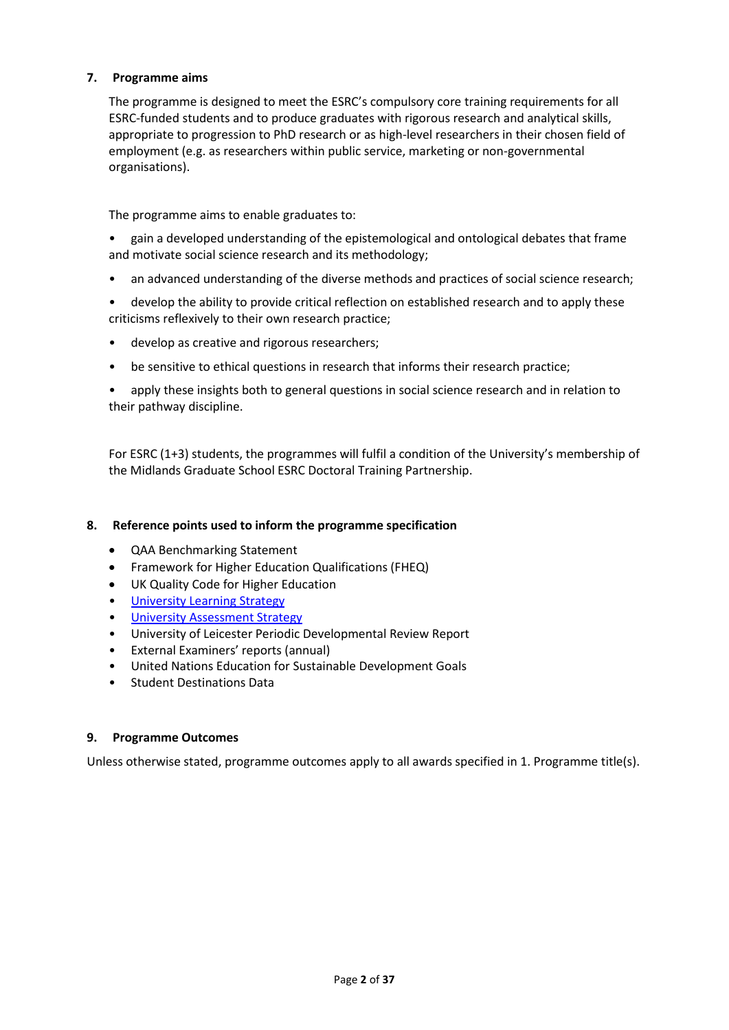#### **7. Programme aims**

The programme is designed to meet the ESRC's compulsory core training requirements for all ESRC-funded students and to produce graduates with rigorous research and analytical skills, appropriate to progression to PhD research or as high-level researchers in their chosen field of employment (e.g. as researchers within public service, marketing or non-governmental organisations).

The programme aims to enable graduates to:

• gain a developed understanding of the epistemological and ontological debates that frame and motivate social science research and its methodology;

- an advanced understanding of the diverse methods and practices of social science research;
- develop the ability to provide critical reflection on established research and to apply these criticisms reflexively to their own research practice;
- develop as creative and rigorous researchers;
- be sensitive to ethical questions in research that informs their research practice;

• apply these insights both to general questions in social science research and in relation to their pathway discipline.

For ESRC (1+3) students, the programmes will fulfil a condition of the University's membership of the Midlands Graduate School ESRC Doctoral Training Partnership.

#### **8. Reference points used to inform the programme specification**

- QAA Benchmarking Statement
- Framework for Higher Education Qualifications (FHEQ)
- UK Quality Code for Higher Education
- [University Learning](https://www2.le.ac.uk/offices/sas2/quality/learnteach) Strategy
- [University Assessment Strategy](https://www2.le.ac.uk/offices/sas2/quality/learnteach)
- University of Leicester Periodic Developmental Review Report
- External Examiners' reports (annual)
- United Nations Education for Sustainable Development Goals
- Student Destinations Data

#### **9. Programme Outcomes**

Unless otherwise stated, programme outcomes apply to all awards specified in [1.](#page-0-0) Programme title(s).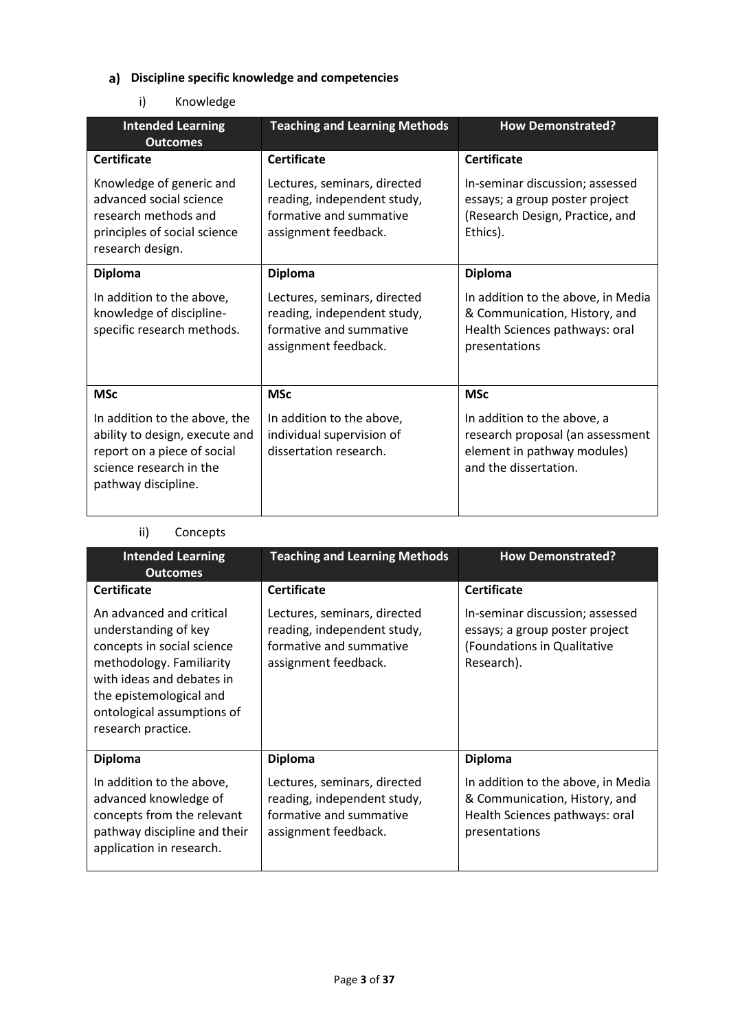# **Discipline specific knowledge and competencies**

### i) Knowledge

| <b>Intended Learning</b><br><b>Outcomes</b>                                                                                                      | <b>Teaching and Learning Methods</b>                                                                           | <b>How Demonstrated?</b>                                                                                                |
|--------------------------------------------------------------------------------------------------------------------------------------------------|----------------------------------------------------------------------------------------------------------------|-------------------------------------------------------------------------------------------------------------------------|
| <b>Certificate</b>                                                                                                                               | <b>Certificate</b>                                                                                             | <b>Certificate</b>                                                                                                      |
| Knowledge of generic and<br>advanced social science<br>research methods and<br>principles of social science<br>research design.                  | Lectures, seminars, directed<br>reading, independent study,<br>formative and summative<br>assignment feedback. | In-seminar discussion; assessed<br>essays; a group poster project<br>(Research Design, Practice, and<br>Ethics).        |
| <b>Diploma</b>                                                                                                                                   | <b>Diploma</b>                                                                                                 | <b>Diploma</b>                                                                                                          |
| In addition to the above,<br>knowledge of discipline-<br>specific research methods.                                                              | Lectures, seminars, directed<br>reading, independent study,<br>formative and summative<br>assignment feedback. | In addition to the above, in Media<br>& Communication, History, and<br>Health Sciences pathways: oral<br>presentations  |
| <b>MSc</b>                                                                                                                                       | <b>MSc</b>                                                                                                     | <b>MSc</b>                                                                                                              |
| In addition to the above, the<br>ability to design, execute and<br>report on a piece of social<br>science research in the<br>pathway discipline. | In addition to the above,<br>individual supervision of<br>dissertation research.                               | In addition to the above, a<br>research proposal (an assessment<br>element in pathway modules)<br>and the dissertation. |

### ii) Concepts

| <b>Intended Learning</b><br><b>Outcomes</b>                                                                                                                                                                            | <b>Teaching and Learning Methods</b>                                                                           | <b>How Demonstrated?</b>                                                                                               |
|------------------------------------------------------------------------------------------------------------------------------------------------------------------------------------------------------------------------|----------------------------------------------------------------------------------------------------------------|------------------------------------------------------------------------------------------------------------------------|
| <b>Certificate</b>                                                                                                                                                                                                     | <b>Certificate</b>                                                                                             | <b>Certificate</b>                                                                                                     |
| An advanced and critical<br>understanding of key<br>concepts in social science<br>methodology. Familiarity<br>with ideas and debates in<br>the epistemological and<br>ontological assumptions of<br>research practice. | Lectures, seminars, directed<br>reading, independent study,<br>formative and summative<br>assignment feedback. | In-seminar discussion; assessed<br>essays; a group poster project<br>(Foundations in Qualitative<br>Research).         |
| <b>Diploma</b>                                                                                                                                                                                                         | <b>Diploma</b>                                                                                                 | <b>Diploma</b>                                                                                                         |
| In addition to the above,<br>advanced knowledge of<br>concepts from the relevant<br>pathway discipline and their<br>application in research.                                                                           | Lectures, seminars, directed<br>reading, independent study,<br>formative and summative<br>assignment feedback. | In addition to the above, in Media<br>& Communication, History, and<br>Health Sciences pathways: oral<br>presentations |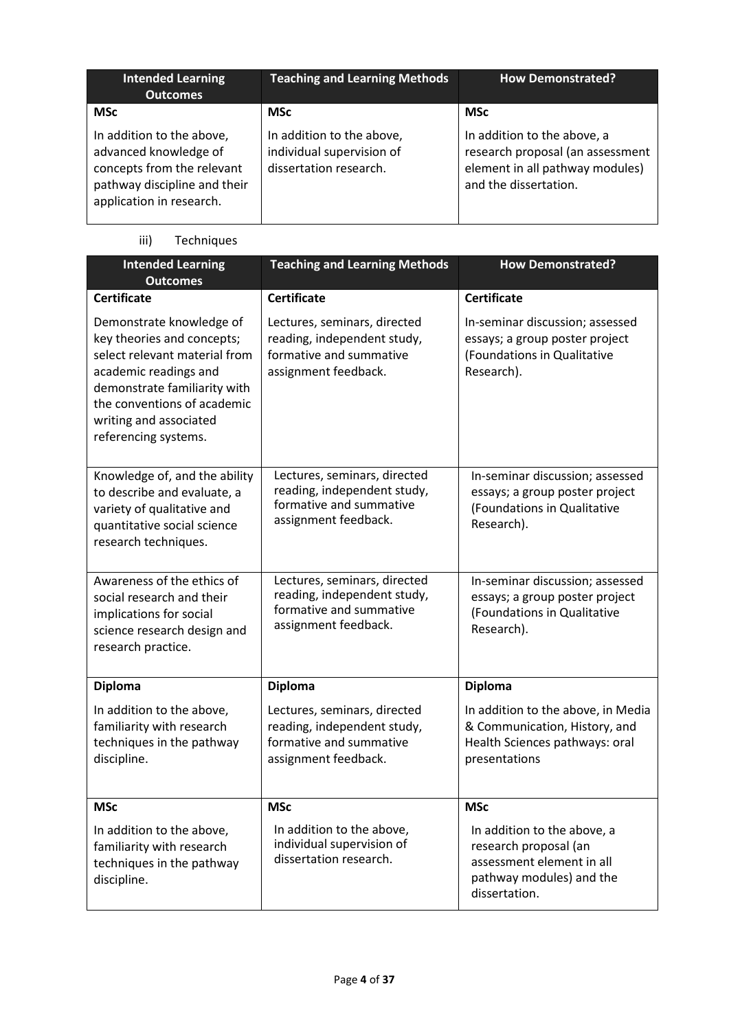| <b>Intended Learning</b><br><b>Outcomes</b>                                                                                                  | <b>Teaching and Learning Methods</b>                                             | <b>How Demonstrated?</b>                                                                                                    |
|----------------------------------------------------------------------------------------------------------------------------------------------|----------------------------------------------------------------------------------|-----------------------------------------------------------------------------------------------------------------------------|
| <b>MSc</b>                                                                                                                                   | <b>MSc</b>                                                                       | <b>MSc</b>                                                                                                                  |
| In addition to the above,<br>advanced knowledge of<br>concepts from the relevant<br>pathway discipline and their<br>application in research. | In addition to the above,<br>individual supervision of<br>dissertation research. | In addition to the above, a<br>research proposal (an assessment<br>element in all pathway modules)<br>and the dissertation. |

iii) Techniques

| <b>Intended Learning</b><br><b>Outcomes</b>                                                                                                                                                                                       | <b>Teaching and Learning Methods</b>                                                                           | <b>How Demonstrated?</b>                                                                                                       |
|-----------------------------------------------------------------------------------------------------------------------------------------------------------------------------------------------------------------------------------|----------------------------------------------------------------------------------------------------------------|--------------------------------------------------------------------------------------------------------------------------------|
| <b>Certificate</b>                                                                                                                                                                                                                | <b>Certificate</b>                                                                                             | <b>Certificate</b>                                                                                                             |
| Demonstrate knowledge of<br>key theories and concepts;<br>select relevant material from<br>academic readings and<br>demonstrate familiarity with<br>the conventions of academic<br>writing and associated<br>referencing systems. | Lectures, seminars, directed<br>reading, independent study,<br>formative and summative<br>assignment feedback. | In-seminar discussion; assessed<br>essays; a group poster project<br>(Foundations in Qualitative<br>Research).                 |
| Knowledge of, and the ability<br>to describe and evaluate, a<br>variety of qualitative and<br>quantitative social science<br>research techniques.                                                                                 | Lectures, seminars, directed<br>reading, independent study,<br>formative and summative<br>assignment feedback. | In-seminar discussion; assessed<br>essays; a group poster project<br>(Foundations in Qualitative<br>Research).                 |
| Awareness of the ethics of<br>social research and their<br>implications for social<br>science research design and<br>research practice.                                                                                           | Lectures, seminars, directed<br>reading, independent study,<br>formative and summative<br>assignment feedback. | In-seminar discussion; assessed<br>essays; a group poster project<br>(Foundations in Qualitative<br>Research).                 |
| <b>Diploma</b>                                                                                                                                                                                                                    | <b>Diploma</b>                                                                                                 | <b>Diploma</b>                                                                                                                 |
| In addition to the above,<br>familiarity with research<br>techniques in the pathway<br>discipline.                                                                                                                                | Lectures, seminars, directed<br>reading, independent study,<br>formative and summative<br>assignment feedback. | In addition to the above, in Media<br>& Communication, History, and<br>Health Sciences pathways: oral<br>presentations         |
| <b>MSc</b>                                                                                                                                                                                                                        | <b>MSc</b>                                                                                                     | <b>MSc</b>                                                                                                                     |
| In addition to the above,<br>familiarity with research<br>techniques in the pathway<br>discipline.                                                                                                                                | In addition to the above,<br>individual supervision of<br>dissertation research.                               | In addition to the above, a<br>research proposal (an<br>assessment element in all<br>pathway modules) and the<br>dissertation. |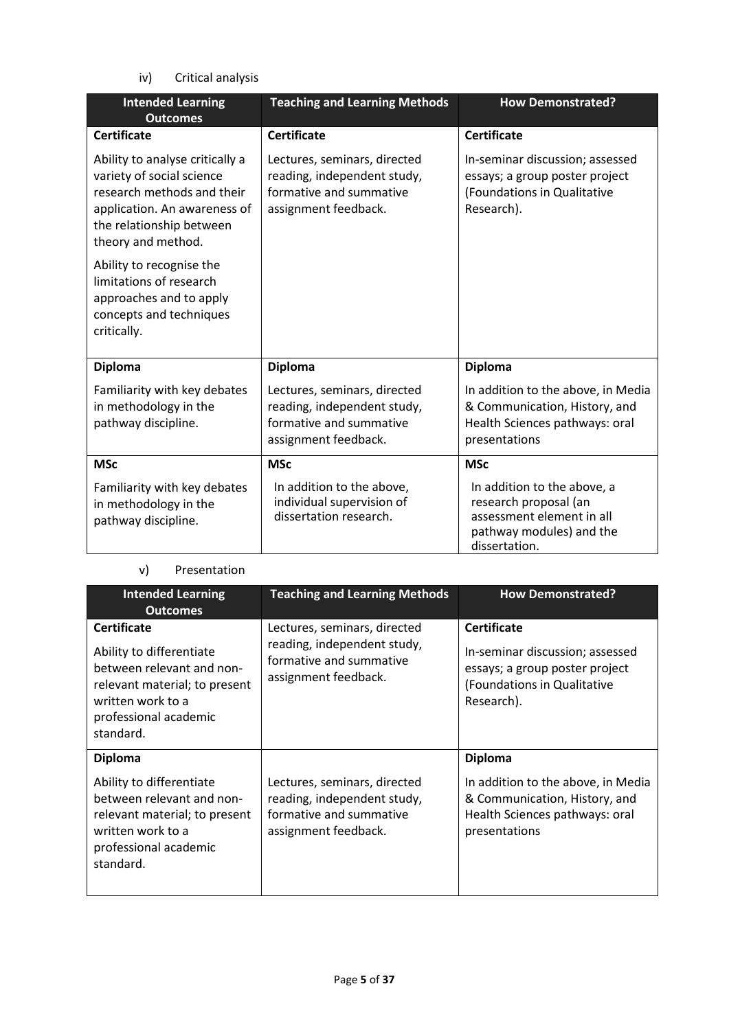iv) Critical analysis

| <b>Intended Learning</b><br><b>Outcomes</b>                                                                                                                                  | <b>Teaching and Learning Methods</b>                                                                           | <b>How Demonstrated?</b>                                                                                                       |
|------------------------------------------------------------------------------------------------------------------------------------------------------------------------------|----------------------------------------------------------------------------------------------------------------|--------------------------------------------------------------------------------------------------------------------------------|
| <b>Certificate</b>                                                                                                                                                           | <b>Certificate</b>                                                                                             | <b>Certificate</b>                                                                                                             |
| Ability to analyse critically a<br>variety of social science<br>research methods and their<br>application. An awareness of<br>the relationship between<br>theory and method. | Lectures, seminars, directed<br>reading, independent study,<br>formative and summative<br>assignment feedback. | In-seminar discussion; assessed<br>essays; a group poster project<br>(Foundations in Qualitative<br>Research).                 |
| Ability to recognise the<br>limitations of research<br>approaches and to apply<br>concepts and techniques<br>critically.                                                     |                                                                                                                |                                                                                                                                |
| <b>Diploma</b>                                                                                                                                                               | <b>Diploma</b>                                                                                                 | <b>Diploma</b>                                                                                                                 |
| Familiarity with key debates<br>in methodology in the<br>pathway discipline.                                                                                                 | Lectures, seminars, directed<br>reading, independent study,<br>formative and summative<br>assignment feedback. | In addition to the above, in Media<br>& Communication, History, and<br>Health Sciences pathways: oral<br>presentations         |
| <b>MSc</b>                                                                                                                                                                   | <b>MSc</b>                                                                                                     | <b>MSc</b>                                                                                                                     |
| Familiarity with key debates<br>in methodology in the<br>pathway discipline.                                                                                                 | In addition to the above,<br>individual supervision of<br>dissertation research.                               | In addition to the above, a<br>research proposal (an<br>assessment element in all<br>pathway modules) and the<br>dissertation. |

### v) Presentation

| <b>Intended Learning</b><br><b>Outcomes</b>                                                                                                                             | <b>Teaching and Learning Methods</b>                                                                           | <b>How Demonstrated?</b>                                                                                                                 |
|-------------------------------------------------------------------------------------------------------------------------------------------------------------------------|----------------------------------------------------------------------------------------------------------------|------------------------------------------------------------------------------------------------------------------------------------------|
| <b>Certificate</b><br>Ability to differentiate<br>between relevant and non-<br>relevant material; to present<br>written work to a<br>professional academic<br>standard. | Lectures, seminars, directed<br>reading, independent study,<br>formative and summative<br>assignment feedback. | <b>Certificate</b><br>In-seminar discussion; assessed<br>essays; a group poster project<br>(Foundations in Qualitative<br>Research).     |
| <b>Diploma</b><br>Ability to differentiate<br>between relevant and non-<br>relevant material; to present<br>written work to a<br>professional academic<br>standard.     | Lectures, seminars, directed<br>reading, independent study,<br>formative and summative<br>assignment feedback. | <b>Diploma</b><br>In addition to the above, in Media<br>& Communication, History, and<br>Health Sciences pathways: oral<br>presentations |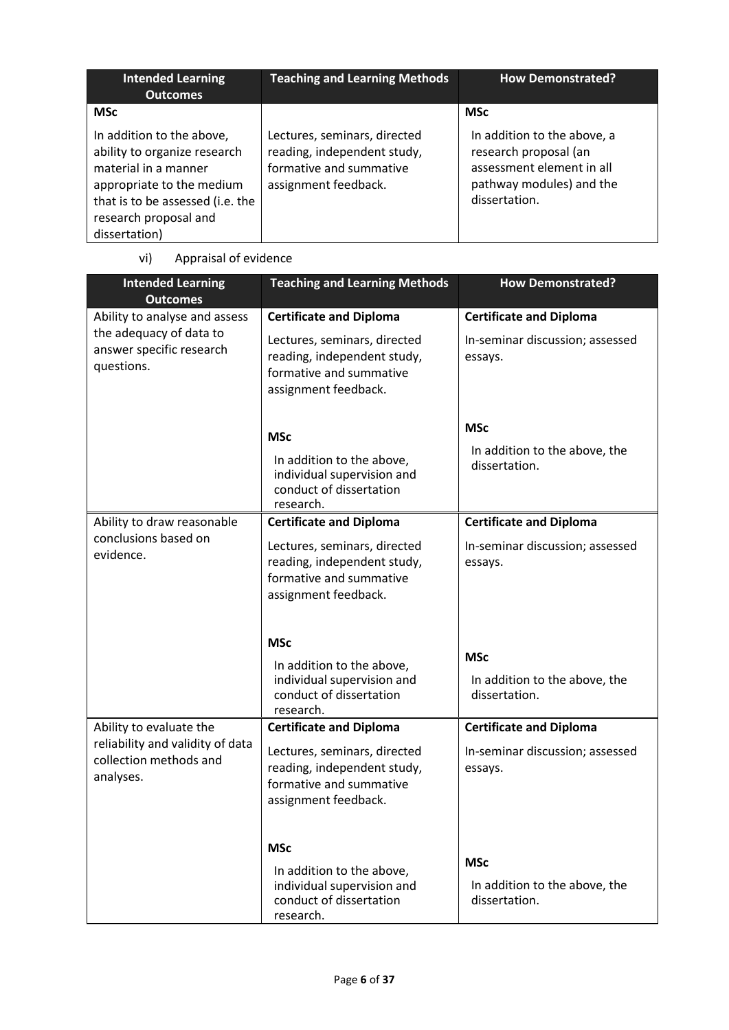| <b>Intended Learning</b><br><b>Outcomes</b>                                                                                                                                                  | <b>Teaching and Learning Methods</b>                                                                           | <b>How Demonstrated?</b>                                                                                                       |
|----------------------------------------------------------------------------------------------------------------------------------------------------------------------------------------------|----------------------------------------------------------------------------------------------------------------|--------------------------------------------------------------------------------------------------------------------------------|
| <b>MSc</b>                                                                                                                                                                                   |                                                                                                                | <b>MSc</b>                                                                                                                     |
| In addition to the above,<br>ability to organize research<br>material in a manner<br>appropriate to the medium<br>that is to be assessed (i.e. the<br>research proposal and<br>dissertation) | Lectures, seminars, directed<br>reading, independent study,<br>formative and summative<br>assignment feedback. | In addition to the above, a<br>research proposal (an<br>assessment element in all<br>pathway modules) and the<br>dissertation. |

vi) Appraisal of evidence

| <b>Intended Learning</b><br><b>Outcomes</b>                                                        | <b>Teaching and Learning Methods</b>                                                                                                             | <b>How Demonstrated?</b>                                                     |
|----------------------------------------------------------------------------------------------------|--------------------------------------------------------------------------------------------------------------------------------------------------|------------------------------------------------------------------------------|
| Ability to analyse and assess<br>the adequacy of data to<br>answer specific research<br>questions. | <b>Certificate and Diploma</b><br>Lectures, seminars, directed<br>reading, independent study,<br>formative and summative<br>assignment feedback. | <b>Certificate and Diploma</b><br>In-seminar discussion; assessed<br>essays. |
|                                                                                                    | <b>MSc</b><br>In addition to the above,<br>individual supervision and<br>conduct of dissertation<br>research.                                    | <b>MSc</b><br>In addition to the above, the<br>dissertation.                 |
| Ability to draw reasonable<br>conclusions based on<br>evidence.                                    | <b>Certificate and Diploma</b><br>Lectures, seminars, directed<br>reading, independent study,<br>formative and summative<br>assignment feedback. | <b>Certificate and Diploma</b><br>In-seminar discussion; assessed<br>essays. |
|                                                                                                    | <b>MSc</b><br>In addition to the above,<br>individual supervision and<br>conduct of dissertation<br>research.                                    | <b>MSc</b><br>In addition to the above, the<br>dissertation.                 |
| Ability to evaluate the<br>reliability and validity of data<br>collection methods and<br>analyses. | <b>Certificate and Diploma</b><br>Lectures, seminars, directed<br>reading, independent study,<br>formative and summative<br>assignment feedback. | <b>Certificate and Diploma</b><br>In-seminar discussion; assessed<br>essays. |
|                                                                                                    | <b>MSc</b><br>In addition to the above,<br>individual supervision and<br>conduct of dissertation<br>research.                                    | <b>MSc</b><br>In addition to the above, the<br>dissertation.                 |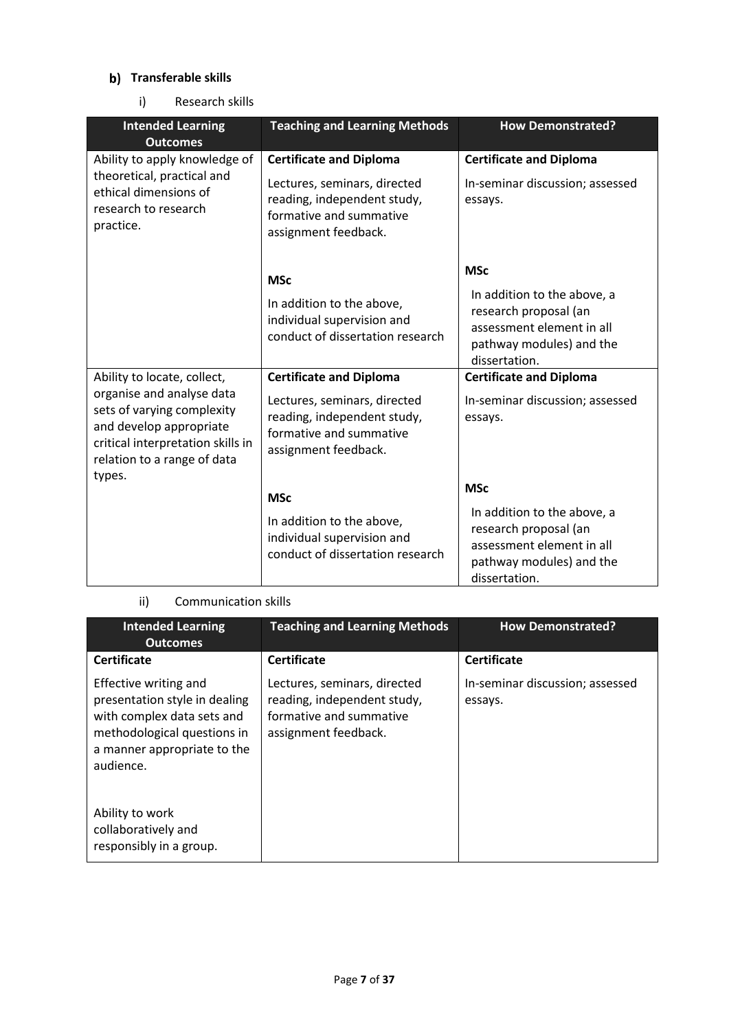### **b)** Transferable skills

i) Research skills

| <b>Intended Learning</b><br><b>Outcomes</b>                                                                                                                                                     | <b>Teaching and Learning Methods</b>                                                                                                             | <b>How Demonstrated?</b>                                                                                                                     |
|-------------------------------------------------------------------------------------------------------------------------------------------------------------------------------------------------|--------------------------------------------------------------------------------------------------------------------------------------------------|----------------------------------------------------------------------------------------------------------------------------------------------|
| Ability to apply knowledge of<br>theoretical, practical and<br>ethical dimensions of<br>research to research<br>practice.                                                                       | <b>Certificate and Diploma</b><br>Lectures, seminars, directed<br>reading, independent study,<br>formative and summative<br>assignment feedback. | <b>Certificate and Diploma</b><br>In-seminar discussion; assessed<br>essays.                                                                 |
|                                                                                                                                                                                                 | <b>MSc</b><br>In addition to the above,<br>individual supervision and<br>conduct of dissertation research                                        | <b>MSc</b><br>In addition to the above, a<br>research proposal (an<br>assessment element in all<br>pathway modules) and the<br>dissertation. |
| Ability to locate, collect,<br>organise and analyse data<br>sets of varying complexity<br>and develop appropriate<br>critical interpretation skills in<br>relation to a range of data<br>types. | <b>Certificate and Diploma</b><br>Lectures, seminars, directed<br>reading, independent study,<br>formative and summative<br>assignment feedback. | <b>Certificate and Diploma</b><br>In-seminar discussion; assessed<br>essays.                                                                 |
|                                                                                                                                                                                                 | <b>MSc</b><br>In addition to the above,<br>individual supervision and<br>conduct of dissertation research                                        | <b>MSc</b><br>In addition to the above, a<br>research proposal (an<br>assessment element in all<br>pathway modules) and the<br>dissertation. |

### ii) Communication skills

| <b>Intended Learning</b><br><b>Outcomes</b>                                                                                                                     | <b>Teaching and Learning Methods</b>                                                                           | <b>How Demonstrated?</b>                   |
|-----------------------------------------------------------------------------------------------------------------------------------------------------------------|----------------------------------------------------------------------------------------------------------------|--------------------------------------------|
| <b>Certificate</b>                                                                                                                                              | <b>Certificate</b>                                                                                             | <b>Certificate</b>                         |
| Effective writing and<br>presentation style in dealing<br>with complex data sets and<br>methodological questions in<br>a manner appropriate to the<br>audience. | Lectures, seminars, directed<br>reading, independent study,<br>formative and summative<br>assignment feedback. | In-seminar discussion; assessed<br>essays. |
| Ability to work<br>collaboratively and<br>responsibly in a group.                                                                                               |                                                                                                                |                                            |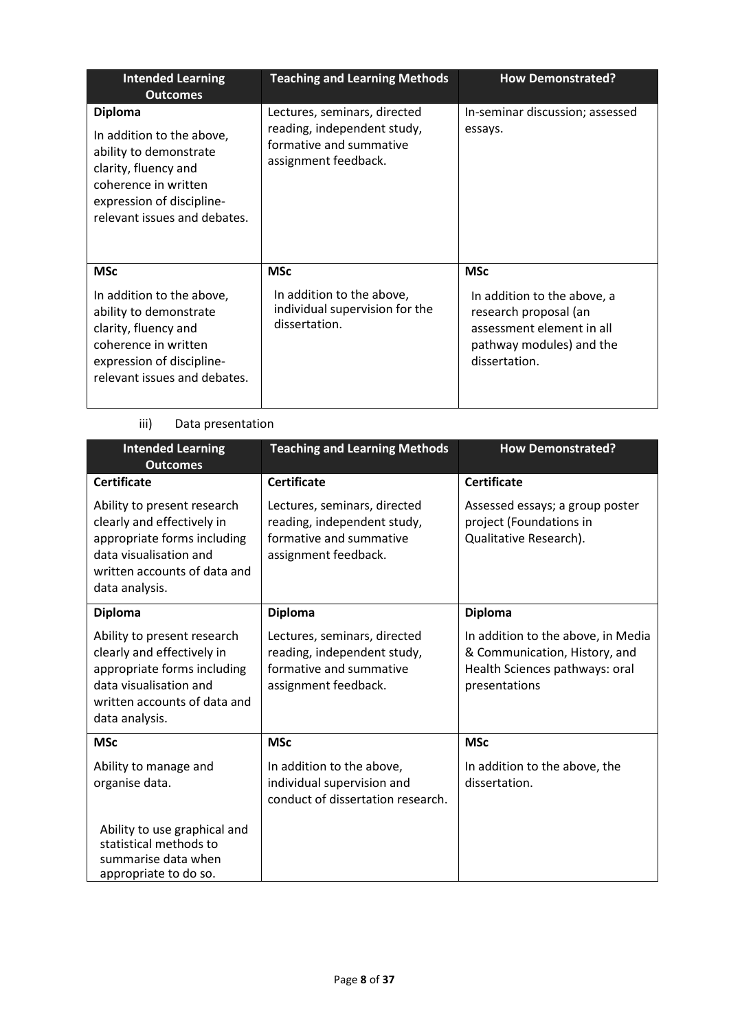| <b>Intended Learning</b><br><b>Outcomes</b>                                                                                                                                        | <b>Teaching and Learning Methods</b>                                                                           | <b>How Demonstrated?</b>                                                                                                                     |
|------------------------------------------------------------------------------------------------------------------------------------------------------------------------------------|----------------------------------------------------------------------------------------------------------------|----------------------------------------------------------------------------------------------------------------------------------------------|
| <b>Diploma</b><br>In addition to the above,<br>ability to demonstrate<br>clarity, fluency and<br>coherence in written<br>expression of discipline-<br>relevant issues and debates. | Lectures, seminars, directed<br>reading, independent study,<br>formative and summative<br>assignment feedback. | In-seminar discussion; assessed<br>essays.                                                                                                   |
| <b>MSc</b><br>In addition to the above,<br>ability to demonstrate<br>clarity, fluency and<br>coherence in written<br>expression of discipline-<br>relevant issues and debates.     | <b>MSc</b><br>In addition to the above,<br>individual supervision for the<br>dissertation.                     | <b>MSc</b><br>In addition to the above, a<br>research proposal (an<br>assessment element in all<br>pathway modules) and the<br>dissertation. |

#### iii) Data presentation

| <b>Intended Learning</b><br><b>Outcomes</b>                                                                                                                          | <b>Teaching and Learning Methods</b>                                                                           | <b>How Demonstrated?</b>                                                                                               |
|----------------------------------------------------------------------------------------------------------------------------------------------------------------------|----------------------------------------------------------------------------------------------------------------|------------------------------------------------------------------------------------------------------------------------|
| <b>Certificate</b>                                                                                                                                                   | <b>Certificate</b>                                                                                             | <b>Certificate</b>                                                                                                     |
| Ability to present research<br>clearly and effectively in<br>appropriate forms including<br>data visualisation and<br>written accounts of data and<br>data analysis. | Lectures, seminars, directed<br>reading, independent study,<br>formative and summative<br>assignment feedback. | Assessed essays; a group poster<br>project (Foundations in<br>Qualitative Research).                                   |
| <b>Diploma</b>                                                                                                                                                       | <b>Diploma</b>                                                                                                 | <b>Diploma</b>                                                                                                         |
| Ability to present research<br>clearly and effectively in<br>appropriate forms including<br>data visualisation and<br>written accounts of data and<br>data analysis. | Lectures, seminars, directed<br>reading, independent study,<br>formative and summative<br>assignment feedback. | In addition to the above, in Media<br>& Communication, History, and<br>Health Sciences pathways: oral<br>presentations |
| <b>MSc</b>                                                                                                                                                           | <b>MSc</b>                                                                                                     | <b>MSc</b>                                                                                                             |
| Ability to manage and<br>organise data.                                                                                                                              | In addition to the above,<br>individual supervision and<br>conduct of dissertation research.                   | In addition to the above, the<br>dissertation.                                                                         |
| Ability to use graphical and<br>statistical methods to<br>summarise data when<br>appropriate to do so.                                                               |                                                                                                                |                                                                                                                        |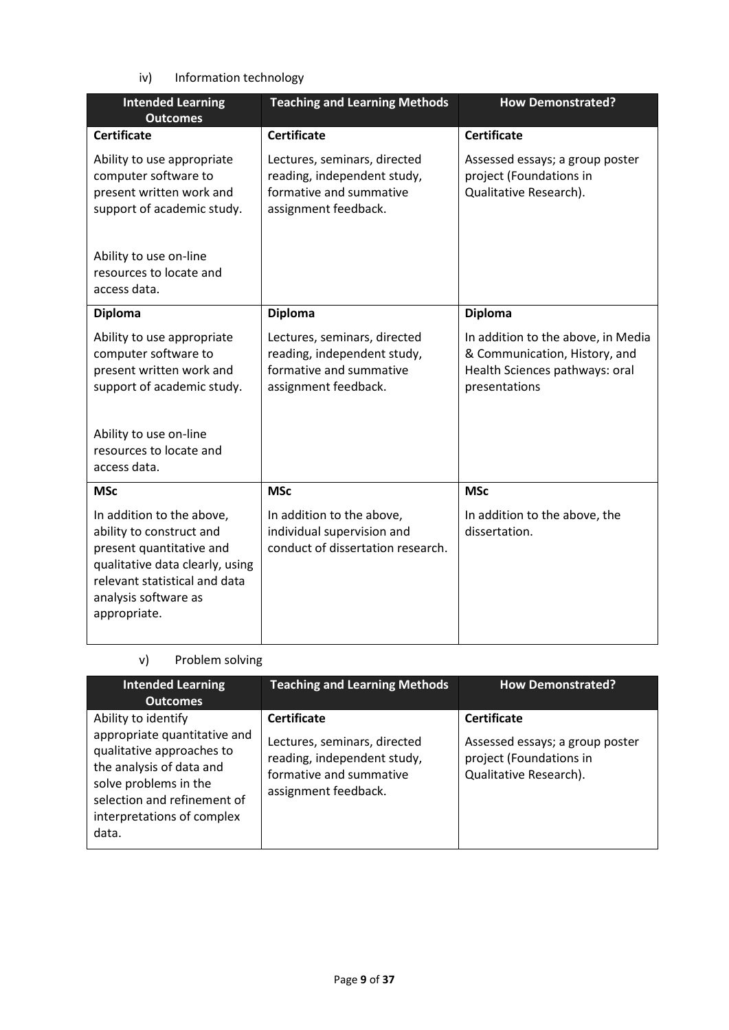iv) Information technology

| <b>Intended Learning</b><br><b>Outcomes</b>                                                                                                                                                   | <b>Teaching and Learning Methods</b>                                                                           | <b>How Demonstrated?</b>                                                                                               |  |
|-----------------------------------------------------------------------------------------------------------------------------------------------------------------------------------------------|----------------------------------------------------------------------------------------------------------------|------------------------------------------------------------------------------------------------------------------------|--|
| <b>Certificate</b>                                                                                                                                                                            | <b>Certificate</b>                                                                                             | <b>Certificate</b>                                                                                                     |  |
| Ability to use appropriate<br>computer software to<br>present written work and<br>support of academic study.                                                                                  | Lectures, seminars, directed<br>reading, independent study,<br>formative and summative<br>assignment feedback. | Assessed essays; a group poster<br>project (Foundations in<br>Qualitative Research).                                   |  |
| Ability to use on-line<br>resources to locate and<br>access data.                                                                                                                             |                                                                                                                |                                                                                                                        |  |
| <b>Diploma</b>                                                                                                                                                                                | <b>Diploma</b>                                                                                                 | <b>Diploma</b>                                                                                                         |  |
| Ability to use appropriate<br>computer software to<br>present written work and<br>support of academic study.<br>Ability to use on-line<br>resources to locate and<br>access data.             | Lectures, seminars, directed<br>reading, independent study,<br>formative and summative<br>assignment feedback. | In addition to the above, in Media<br>& Communication, History, and<br>Health Sciences pathways: oral<br>presentations |  |
| <b>MSc</b>                                                                                                                                                                                    | <b>MSc</b>                                                                                                     | <b>MSc</b>                                                                                                             |  |
| In addition to the above,<br>ability to construct and<br>present quantitative and<br>qualitative data clearly, using<br>relevant statistical and data<br>analysis software as<br>appropriate. | In addition to the above,<br>individual supervision and<br>conduct of dissertation research.                   | In addition to the above, the<br>dissertation.                                                                         |  |

#### v) Problem solving

| <b>Intended Learning</b><br><b>Outcomes</b>                                                                                                                                                                 | <b>Teaching and Learning Methods</b>                                                                                                 | <b>How Demonstrated?</b>                                                                                   |
|-------------------------------------------------------------------------------------------------------------------------------------------------------------------------------------------------------------|--------------------------------------------------------------------------------------------------------------------------------------|------------------------------------------------------------------------------------------------------------|
| Ability to identify<br>appropriate quantitative and<br>qualitative approaches to<br>the analysis of data and<br>solve problems in the<br>selection and refinement of<br>interpretations of complex<br>data. | <b>Certificate</b><br>Lectures, seminars, directed<br>reading, independent study,<br>formative and summative<br>assignment feedback. | <b>Certificate</b><br>Assessed essays; a group poster<br>project (Foundations in<br>Qualitative Research). |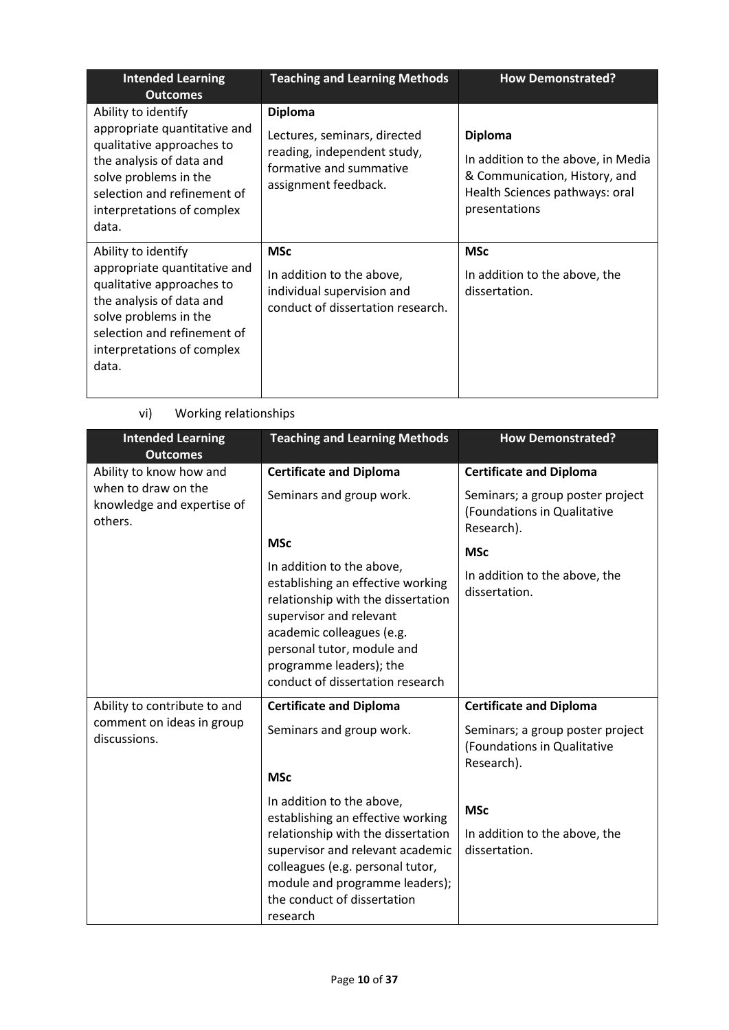| <b>Intended Learning</b><br><b>Outcomes</b>                                                                                                                                                                 | <b>Teaching and Learning Methods</b>                                                                                             | <b>How Demonstrated?</b>                                                                                                                 |
|-------------------------------------------------------------------------------------------------------------------------------------------------------------------------------------------------------------|----------------------------------------------------------------------------------------------------------------------------------|------------------------------------------------------------------------------------------------------------------------------------------|
| Ability to identify<br>appropriate quantitative and<br>qualitative approaches to<br>the analysis of data and<br>solve problems in the<br>selection and refinement of<br>interpretations of complex<br>data. | <b>Diploma</b><br>Lectures, seminars, directed<br>reading, independent study,<br>formative and summative<br>assignment feedback. | <b>Diploma</b><br>In addition to the above, in Media<br>& Communication, History, and<br>Health Sciences pathways: oral<br>presentations |
| Ability to identify<br>appropriate quantitative and<br>qualitative approaches to<br>the analysis of data and<br>solve problems in the<br>selection and refinement of<br>interpretations of complex<br>data. | <b>MSc</b><br>In addition to the above,<br>individual supervision and<br>conduct of dissertation research.                       | <b>MSc</b><br>In addition to the above, the<br>dissertation.                                                                             |

| <b>Intended Learning</b><br><b>Outcomes</b>                  | <b>Teaching and Learning Methods</b>                                                                                                                                                                                                                      | <b>How Demonstrated?</b>                                                      |
|--------------------------------------------------------------|-----------------------------------------------------------------------------------------------------------------------------------------------------------------------------------------------------------------------------------------------------------|-------------------------------------------------------------------------------|
| Ability to know how and                                      | <b>Certificate and Diploma</b>                                                                                                                                                                                                                            | <b>Certificate and Diploma</b>                                                |
| when to draw on the<br>knowledge and expertise of<br>others. | Seminars and group work.                                                                                                                                                                                                                                  | Seminars; a group poster project<br>(Foundations in Qualitative<br>Research). |
|                                                              | <b>MSc</b>                                                                                                                                                                                                                                                | <b>MSc</b>                                                                    |
|                                                              | In addition to the above,<br>establishing an effective working<br>relationship with the dissertation<br>supervisor and relevant<br>academic colleagues (e.g.<br>personal tutor, module and<br>programme leaders); the<br>conduct of dissertation research | In addition to the above, the<br>dissertation.                                |
| Ability to contribute to and                                 | <b>Certificate and Diploma</b>                                                                                                                                                                                                                            | <b>Certificate and Diploma</b>                                                |
| comment on ideas in group<br>discussions.                    | Seminars and group work.                                                                                                                                                                                                                                  | Seminars; a group poster project<br>(Foundations in Qualitative<br>Research). |
|                                                              | <b>MSc</b>                                                                                                                                                                                                                                                |                                                                               |
|                                                              | In addition to the above,<br>establishing an effective working<br>relationship with the dissertation<br>supervisor and relevant academic<br>colleagues (e.g. personal tutor,<br>module and programme leaders);<br>the conduct of dissertation<br>research | <b>MSc</b><br>In addition to the above, the<br>dissertation.                  |

### vi) Working relationships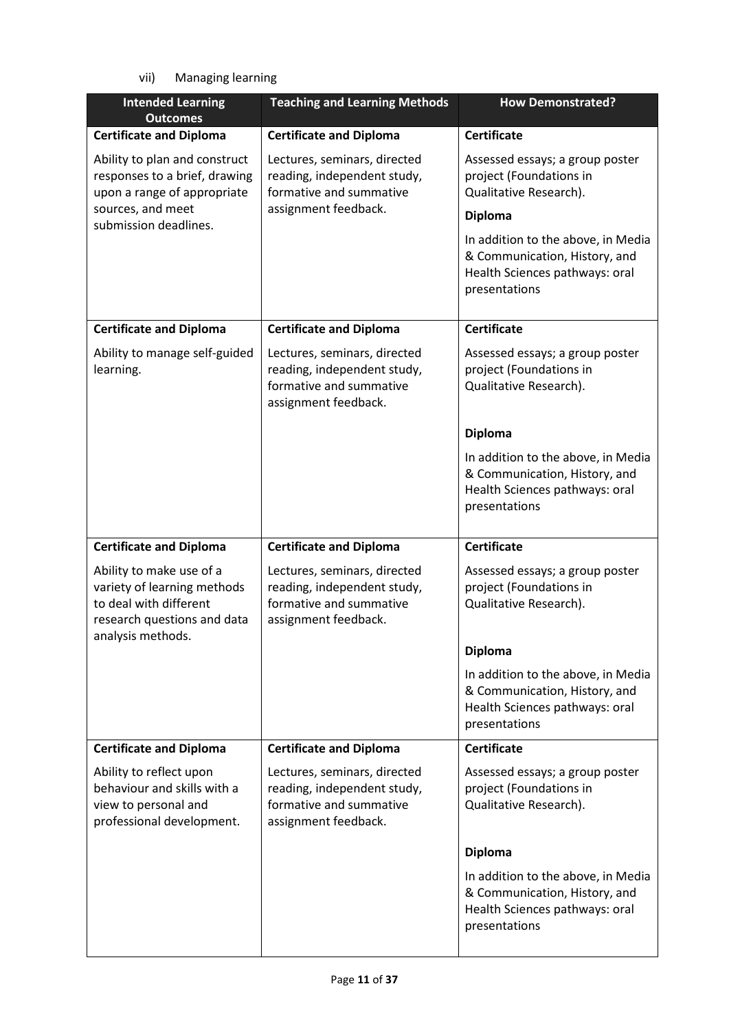vii) Managing learning

| <b>Intended Learning</b><br><b>Outcomes</b>                                                                                           | <b>Teaching and Learning Methods</b>                                                                           | <b>How Demonstrated?</b>                                                                                               |
|---------------------------------------------------------------------------------------------------------------------------------------|----------------------------------------------------------------------------------------------------------------|------------------------------------------------------------------------------------------------------------------------|
| <b>Certificate and Diploma</b>                                                                                                        | <b>Certificate and Diploma</b>                                                                                 | <b>Certificate</b>                                                                                                     |
| Ability to plan and construct<br>responses to a brief, drawing<br>upon a range of appropriate<br>sources, and meet                    | Lectures, seminars, directed<br>reading, independent study,<br>formative and summative<br>assignment feedback. | Assessed essays; a group poster<br>project (Foundations in<br>Qualitative Research).<br><b>Diploma</b>                 |
| submission deadlines.                                                                                                                 |                                                                                                                | In addition to the above, in Media<br>& Communication, History, and<br>Health Sciences pathways: oral<br>presentations |
| <b>Certificate and Diploma</b>                                                                                                        | <b>Certificate and Diploma</b>                                                                                 | <b>Certificate</b>                                                                                                     |
| Ability to manage self-guided<br>learning.                                                                                            | Lectures, seminars, directed<br>reading, independent study,<br>formative and summative<br>assignment feedback. | Assessed essays; a group poster<br>project (Foundations in<br>Qualitative Research).                                   |
|                                                                                                                                       |                                                                                                                | <b>Diploma</b>                                                                                                         |
|                                                                                                                                       |                                                                                                                | In addition to the above, in Media<br>& Communication, History, and<br>Health Sciences pathways: oral<br>presentations |
| <b>Certificate and Diploma</b>                                                                                                        | <b>Certificate and Diploma</b>                                                                                 | <b>Certificate</b>                                                                                                     |
| Ability to make use of a<br>variety of learning methods<br>to deal with different<br>research questions and data<br>analysis methods. | Lectures, seminars, directed<br>reading, independent study,<br>formative and summative<br>assignment feedback. | Assessed essays; a group poster<br>project (Foundations in<br>Qualitative Research).                                   |
|                                                                                                                                       |                                                                                                                | <b>Diploma</b>                                                                                                         |
|                                                                                                                                       |                                                                                                                | In addition to the above, in Media<br>& Communication, History, and<br>Health Sciences pathways: oral<br>presentations |
| <b>Certificate and Diploma</b>                                                                                                        | <b>Certificate and Diploma</b>                                                                                 | <b>Certificate</b>                                                                                                     |
| Ability to reflect upon<br>behaviour and skills with a<br>view to personal and<br>professional development.                           | Lectures, seminars, directed<br>reading, independent study,<br>formative and summative<br>assignment feedback. | Assessed essays; a group poster<br>project (Foundations in<br>Qualitative Research).                                   |
|                                                                                                                                       |                                                                                                                | <b>Diploma</b>                                                                                                         |
|                                                                                                                                       |                                                                                                                | In addition to the above, in Media<br>& Communication, History, and<br>Health Sciences pathways: oral<br>presentations |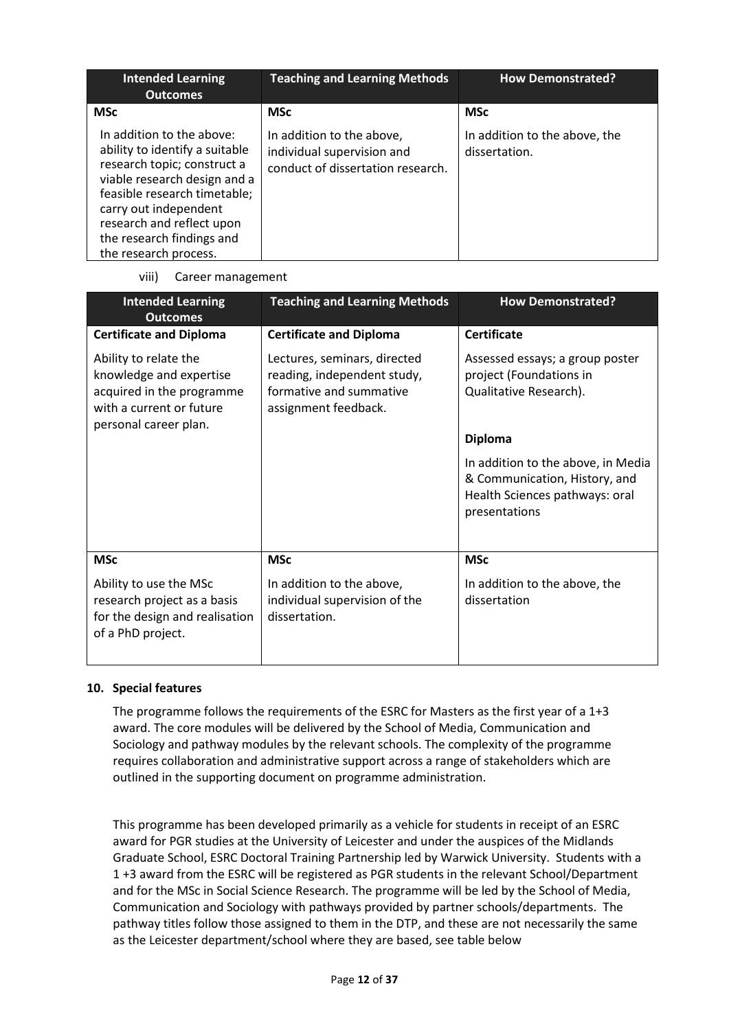| <b>Intended Learning</b><br><b>Outcomes</b>                                                                                                                                                                                                                            | <b>Teaching and Learning Methods</b>                                                         | <b>How Demonstrated?</b>                       |
|------------------------------------------------------------------------------------------------------------------------------------------------------------------------------------------------------------------------------------------------------------------------|----------------------------------------------------------------------------------------------|------------------------------------------------|
| <b>MSc</b>                                                                                                                                                                                                                                                             | <b>MSc</b>                                                                                   | <b>MSc</b>                                     |
| In addition to the above:<br>ability to identify a suitable<br>research topic; construct a<br>viable research design and a<br>feasible research timetable;<br>carry out independent<br>research and reflect upon<br>the research findings and<br>the research process. | In addition to the above,<br>individual supervision and<br>conduct of dissertation research. | In addition to the above, the<br>dissertation. |

viii) Career management

| <b>Intended Learning</b><br><b>Outcomes</b>                                                                                        | <b>Teaching and Learning Methods</b>                                                                           | <b>How Demonstrated?</b>                                                                                               |
|------------------------------------------------------------------------------------------------------------------------------------|----------------------------------------------------------------------------------------------------------------|------------------------------------------------------------------------------------------------------------------------|
| <b>Certificate and Diploma</b>                                                                                                     | <b>Certificate and Diploma</b>                                                                                 | <b>Certificate</b>                                                                                                     |
| Ability to relate the<br>knowledge and expertise<br>acquired in the programme<br>with a current or future<br>personal career plan. | Lectures, seminars, directed<br>reading, independent study,<br>formative and summative<br>assignment feedback. | Assessed essays; a group poster<br>project (Foundations in<br>Qualitative Research).                                   |
|                                                                                                                                    |                                                                                                                | <b>Diploma</b>                                                                                                         |
|                                                                                                                                    |                                                                                                                | In addition to the above, in Media<br>& Communication, History, and<br>Health Sciences pathways: oral<br>presentations |
| <b>MSc</b>                                                                                                                         | <b>MSc</b>                                                                                                     | <b>MSc</b>                                                                                                             |
| Ability to use the MSc<br>research project as a basis<br>for the design and realisation<br>of a PhD project.                       | In addition to the above,<br>individual supervision of the<br>dissertation.                                    | In addition to the above, the<br>dissertation                                                                          |

#### **10. Special features**

The programme follows the requirements of the ESRC for Masters as the first year of a 1+3 award. The core modules will be delivered by the School of Media, Communication and Sociology and pathway modules by the relevant schools. The complexity of the programme requires collaboration and administrative support across a range of stakeholders which are outlined in the supporting document on programme administration.

This programme has been developed primarily as a vehicle for students in receipt of an ESRC award for PGR studies at the University of Leicester and under the auspices of the Midlands Graduate School, ESRC Doctoral Training Partnership led by Warwick University. Students with a 1 +3 award from the ESRC will be registered as PGR students in the relevant School/Department and for the MSc in Social Science Research. The programme will be led by the School of Media, Communication and Sociology with pathways provided by partner schools/departments. The pathway titles follow those assigned to them in the DTP, and these are not necessarily the same as the Leicester department/school where they are based, see table below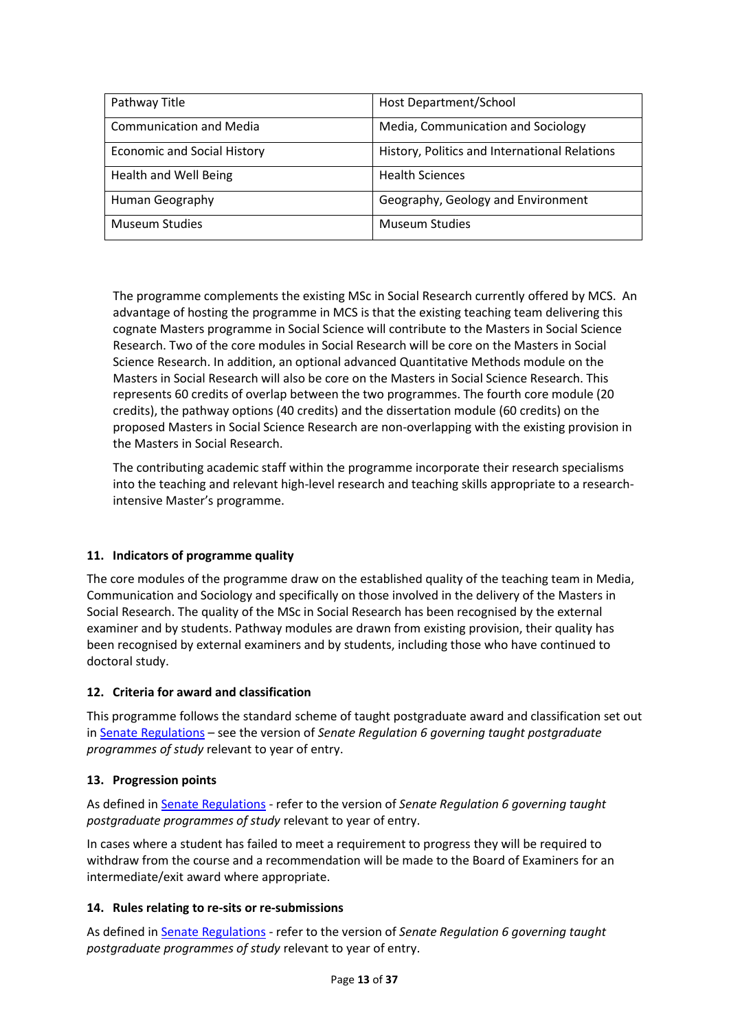| Pathway Title                      | Host Department/School                        |
|------------------------------------|-----------------------------------------------|
| <b>Communication and Media</b>     | Media, Communication and Sociology            |
| <b>Economic and Social History</b> | History, Politics and International Relations |
| <b>Health and Well Being</b>       | <b>Health Sciences</b>                        |
| Human Geography                    | Geography, Geology and Environment            |
| <b>Museum Studies</b>              | <b>Museum Studies</b>                         |

The programme complements the existing MSc in Social Research currently offered by MCS. An advantage of hosting the programme in MCS is that the existing teaching team delivering this cognate Masters programme in Social Science will contribute to the Masters in Social Science Research. Two of the core modules in Social Research will be core on the Masters in Social Science Research. In addition, an optional advanced Quantitative Methods module on the Masters in Social Research will also be core on the Masters in Social Science Research. This represents 60 credits of overlap between the two programmes. The fourth core module (20 credits), the pathway options (40 credits) and the dissertation module (60 credits) on the proposed Masters in Social Science Research are non-overlapping with the existing provision in the Masters in Social Research.

The contributing academic staff within the programme incorporate their research specialisms into the teaching and relevant high-level research and teaching skills appropriate to a researchintensive Master's programme.

#### **11. Indicators of programme quality**

The core modules of the programme draw on the established quality of the teaching team in Media, Communication and Sociology and specifically on those involved in the delivery of the Masters in Social Research. The quality of the MSc in Social Research has been recognised by the external examiner and by students. Pathway modules are drawn from existing provision, their quality has been recognised by external examiners and by students, including those who have continued to doctoral study.

#### **12. Criteria for award and classification**

This programme follows the standard scheme of taught postgraduate award and classification set out i[n Senate Regulations](http://www.le.ac.uk/senate-regulations) – see the version of *Senate Regulation 6 governing taught postgraduate programmes of study* relevant to year of entry.

#### **13. Progression points**

As defined i[n Senate Regulations](http://www.le.ac.uk/senate-regulation6) - refer to the version of *Senate Regulation 6 governing taught postgraduate programmes of study* relevant to year of entry.

In cases where a student has failed to meet a requirement to progress they will be required to withdraw from the course and a recommendation will be made to the Board of Examiners for an intermediate/exit award where appropriate.

#### **14. Rules relating to re-sits or re-submissions**

As defined i[n Senate Regulations](http://www.le.ac.uk/senate-regulation6) - refer to the version of *Senate Regulation 6 governing taught postgraduate programmes of study* relevant to year of entry.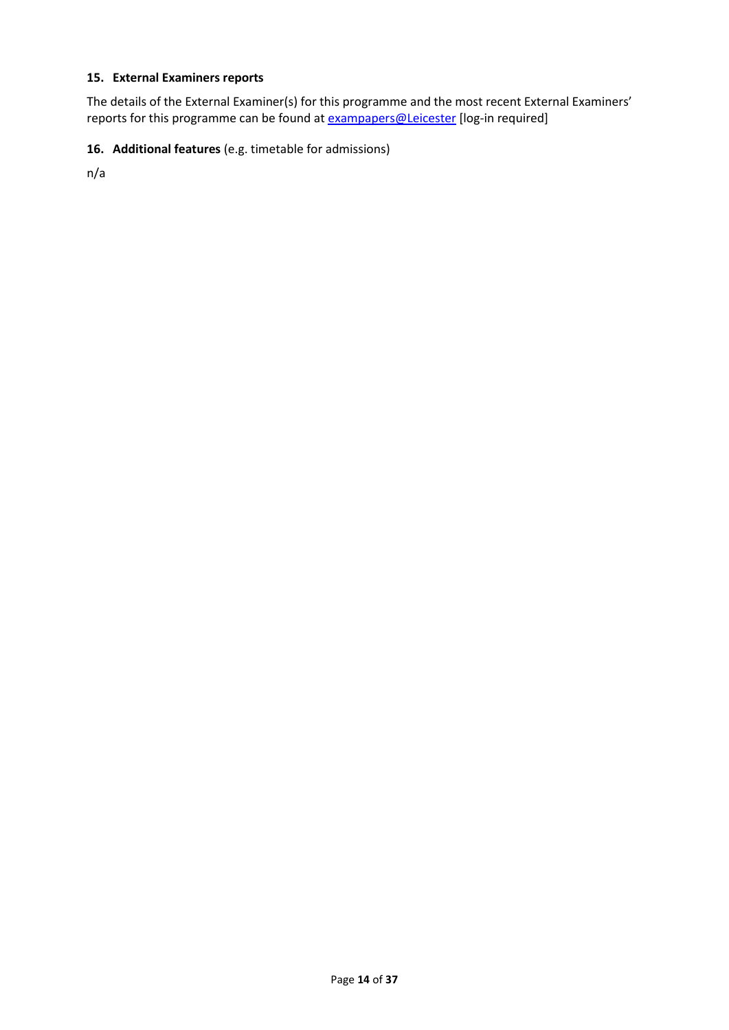### **15. External Examiners reports**

The details of the External Examiner(s) for this programme and the most recent External Examiners' reports for this programme can be found at **exampapers@Leicester** [log-in required]

### **16. Additional features** (e.g. timetable for admissions)

n/a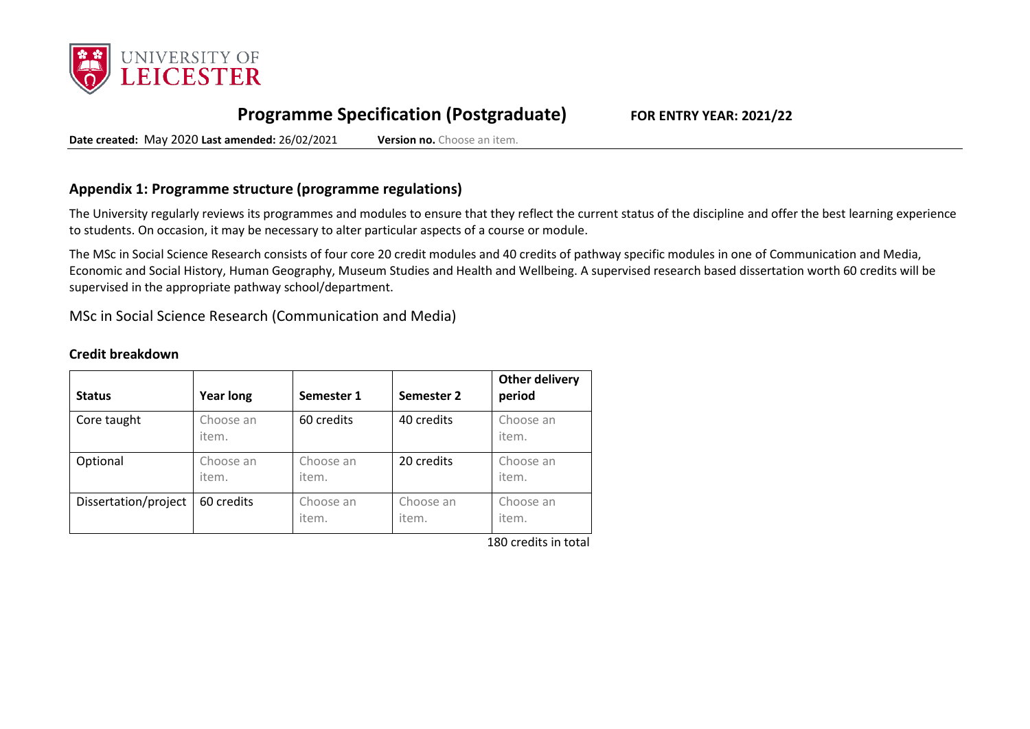

# **Programme Specification (Postgraduate) FOR ENTRY YEAR: 2021/22**

**Date created:** May 2020 **Last amended:** 26/02/2021 **Version no.** Choose an item.

### **Appendix 1: Programme structure (programme regulations)**

The University regularly reviews its programmes and modules to ensure that they reflect the current status of the discipline and offer the best learning experience to students. On occasion, it may be necessary to alter particular aspects of a course or module.

The MSc in Social Science Research consists of four core 20 credit modules and 40 credits of pathway specific modules in one of Communication and Media, Economic and Social History, Human Geography, Museum Studies and Health and Wellbeing. A supervised research based dissertation worth 60 credits will be supervised in the appropriate pathway school/department.

MSc in Social Science Research (Communication and Media)

#### **Credit breakdown**

| <b>Status</b>        | <b>Year long</b>   | Semester 1         | Semester 2         | <b>Other delivery</b><br>period |
|----------------------|--------------------|--------------------|--------------------|---------------------------------|
| Core taught          | Choose an<br>item. | 60 credits         | 40 credits         | Choose an<br>item.              |
| Optional             | Choose an<br>item. | Choose an<br>item. | 20 credits         | Choose an<br>item.              |
| Dissertation/project | 60 credits         | Choose an<br>item. | Choose an<br>item. | Choose an<br>item.              |

180 credits in total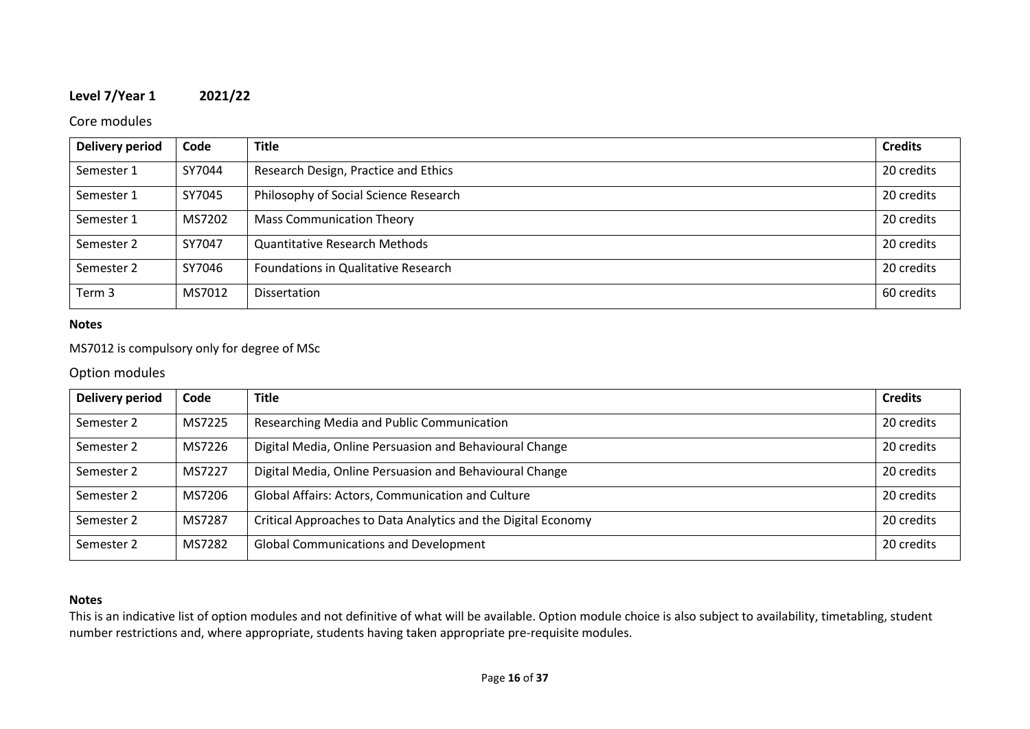### **Level 7/Year 1 2021/22**

### Core modules

| <b>Delivery period</b> | Code   | <b>Title</b>                          | <b>Credits</b> |
|------------------------|--------|---------------------------------------|----------------|
| Semester 1             | SY7044 | Research Design, Practice and Ethics  | 20 credits     |
| Semester 1             | SY7045 | Philosophy of Social Science Research | 20 credits     |
| Semester 1             | MS7202 | <b>Mass Communication Theory</b>      | 20 credits     |
| Semester 2             | SY7047 | <b>Quantitative Research Methods</b>  | 20 credits     |
| Semester 2             | SY7046 | Foundations in Qualitative Research   | 20 credits     |
| Term 3                 | MS7012 | Dissertation                          | 60 credits     |

#### **Notes**

### MS7012 is compulsory only for degree of MSc

#### Option modules

| <b>Delivery period</b> | Code   | <b>Title</b>                                                  | <b>Credits</b> |
|------------------------|--------|---------------------------------------------------------------|----------------|
| Semester 2             | MS7225 | Researching Media and Public Communication                    | 20 credits     |
| Semester 2             | MS7226 | Digital Media, Online Persuasion and Behavioural Change       | 20 credits     |
| Semester 2             | MS7227 | Digital Media, Online Persuasion and Behavioural Change       | 20 credits     |
| Semester 2             | MS7206 | Global Affairs: Actors, Communication and Culture             | 20 credits     |
| Semester 2             | MS7287 | Critical Approaches to Data Analytics and the Digital Economy | 20 credits     |
| Semester 2             | MS7282 | <b>Global Communications and Development</b>                  | 20 credits     |

### **Notes**

This is an indicative list of option modules and not definitive of what will be available. Option module choice is also subject to availability, timetabling, student number restrictions and, where appropriate, students having taken appropriate pre-requisite modules.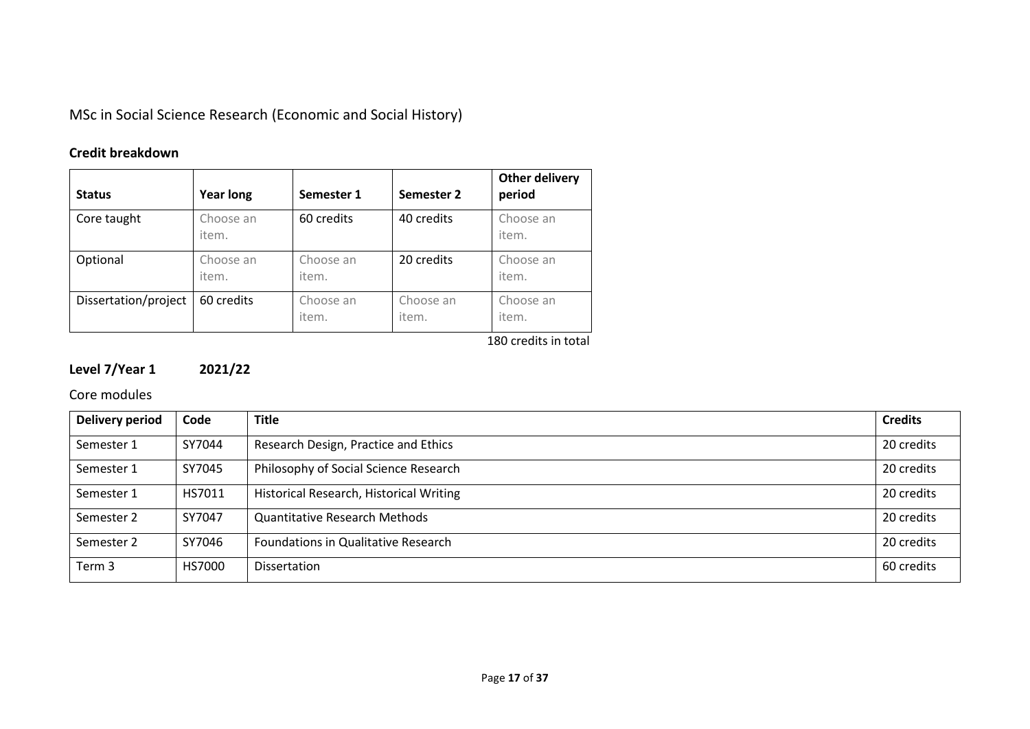MSc in Social Science Research (Economic and Social History)

# **Credit breakdown**

| <b>Status</b>        | <b>Year long</b>   | Semester 1         | Semester 2         | <b>Other delivery</b><br>period |
|----------------------|--------------------|--------------------|--------------------|---------------------------------|
| Core taught          | Choose an<br>item. | 60 credits         | 40 credits         | Choose an<br>item.              |
| Optional             | Choose an<br>item. | Choose an<br>item. | 20 credits         | Choose an<br>item.              |
| Dissertation/project | 60 credits         | Choose an<br>item. | Choose an<br>item. | Choose an<br>item.              |

180 credits in total

# **Level 7/Year 1 2021/22**

Core modules

| <b>Delivery period</b> | Code   | <b>Title</b>                            | <b>Credits</b> |
|------------------------|--------|-----------------------------------------|----------------|
| Semester 1             | SY7044 | Research Design, Practice and Ethics    | 20 credits     |
| Semester 1             | SY7045 | Philosophy of Social Science Research   | 20 credits     |
| Semester 1             | HS7011 | Historical Research, Historical Writing | 20 credits     |
| Semester 2             | SY7047 | <b>Quantitative Research Methods</b>    | 20 credits     |
| Semester 2             | SY7046 | Foundations in Qualitative Research     | 20 credits     |
| Term 3                 | HS7000 | <b>Dissertation</b>                     | 60 credits     |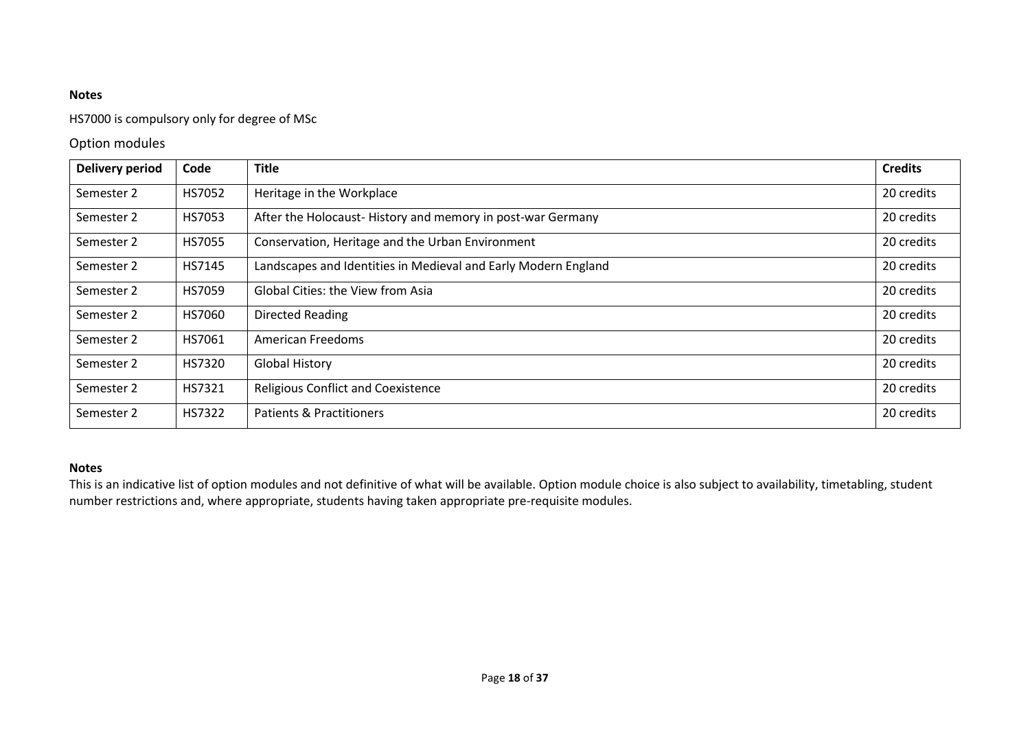### HS7000 is compulsory only for degree of MSc

### Option modules

| <b>Delivery period</b> | Code          | <b>Title</b>                                                   | <b>Credits</b> |
|------------------------|---------------|----------------------------------------------------------------|----------------|
| Semester 2             | HS7052        | Heritage in the Workplace                                      | 20 credits     |
| Semester 2             | HS7053        | After the Holocaust-History and memory in post-war Germany     | 20 credits     |
| Semester 2             | <b>HS7055</b> | Conservation, Heritage and the Urban Environment               | 20 credits     |
| Semester 2             | HS7145        | Landscapes and Identities in Medieval and Early Modern England | 20 credits     |
| Semester 2             | HS7059        | <b>Global Cities: the View from Asia</b>                       | 20 credits     |
| Semester 2             | HS7060        | <b>Directed Reading</b>                                        | 20 credits     |
| Semester 2             | HS7061        | American Freedoms                                              | 20 credits     |
| Semester 2             | HS7320        | <b>Global History</b>                                          | 20 credits     |
| Semester 2             | HS7321        | <b>Religious Conflict and Coexistence</b>                      | 20 credits     |
| Semester 2             | HS7322        | Patients & Practitioners                                       | 20 credits     |

#### **Notes**

This is an indicative list of option modules and not definitive of what will be available. Option module choice is also subject to availability, timetabling, student number restrictions and, where appropriate, students having taken appropriate pre-requisite modules.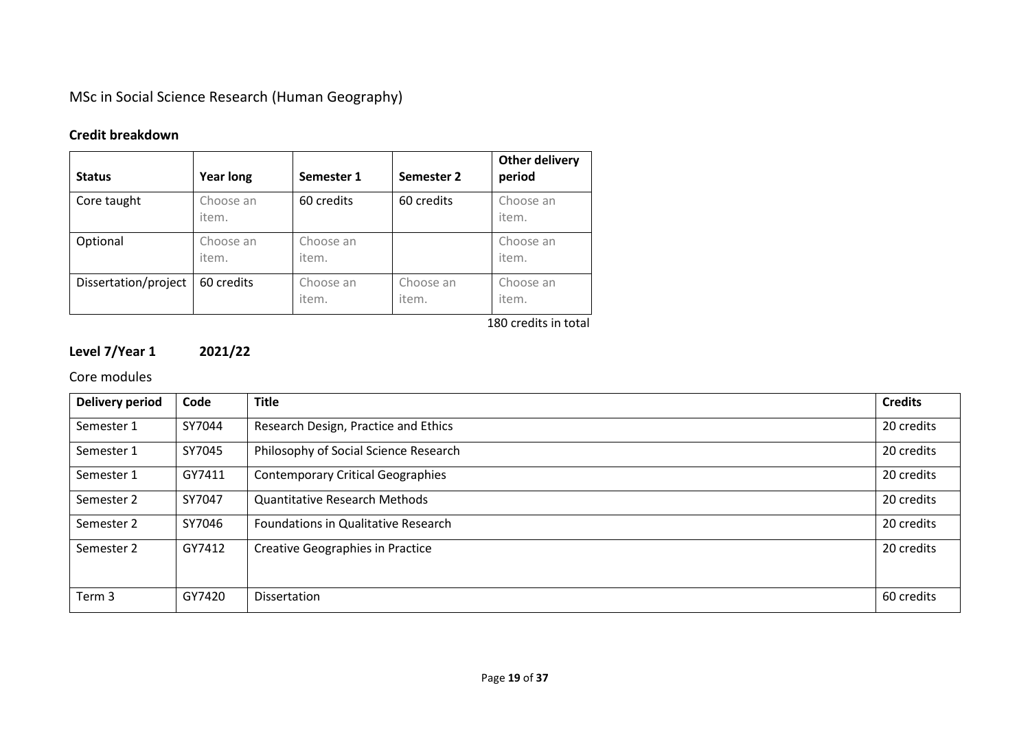MSc in Social Science Research (Human Geography)

# **Credit breakdown**

| <b>Status</b>        | <b>Year long</b>   | Semester 1         | Semester 2         | <b>Other delivery</b><br>period |
|----------------------|--------------------|--------------------|--------------------|---------------------------------|
| Core taught          | Choose an<br>item. | 60 credits         | 60 credits         | Choose an<br>item.              |
| Optional             | Choose an<br>item. | Choose an<br>item. |                    | Choose an<br>item.              |
| Dissertation/project | 60 credits         | Choose an<br>item. | Choose an<br>item. | Choose an<br>item.              |

180 credits in total

# **Level 7/Year 1 2021/22**

### Core modules

| <b>Delivery period</b> | Code   | <b>Title</b>                             | <b>Credits</b> |
|------------------------|--------|------------------------------------------|----------------|
| Semester 1             | SY7044 | Research Design, Practice and Ethics     | 20 credits     |
| Semester 1             | SY7045 | Philosophy of Social Science Research    | 20 credits     |
| Semester 1             | GY7411 | <b>Contemporary Critical Geographies</b> | 20 credits     |
| Semester 2             | SY7047 | <b>Quantitative Research Methods</b>     | 20 credits     |
| Semester 2             | SY7046 | Foundations in Qualitative Research      | 20 credits     |
| Semester 2             | GY7412 | <b>Creative Geographies in Practice</b>  | 20 credits     |
| Term 3                 | GY7420 | Dissertation                             | 60 credits     |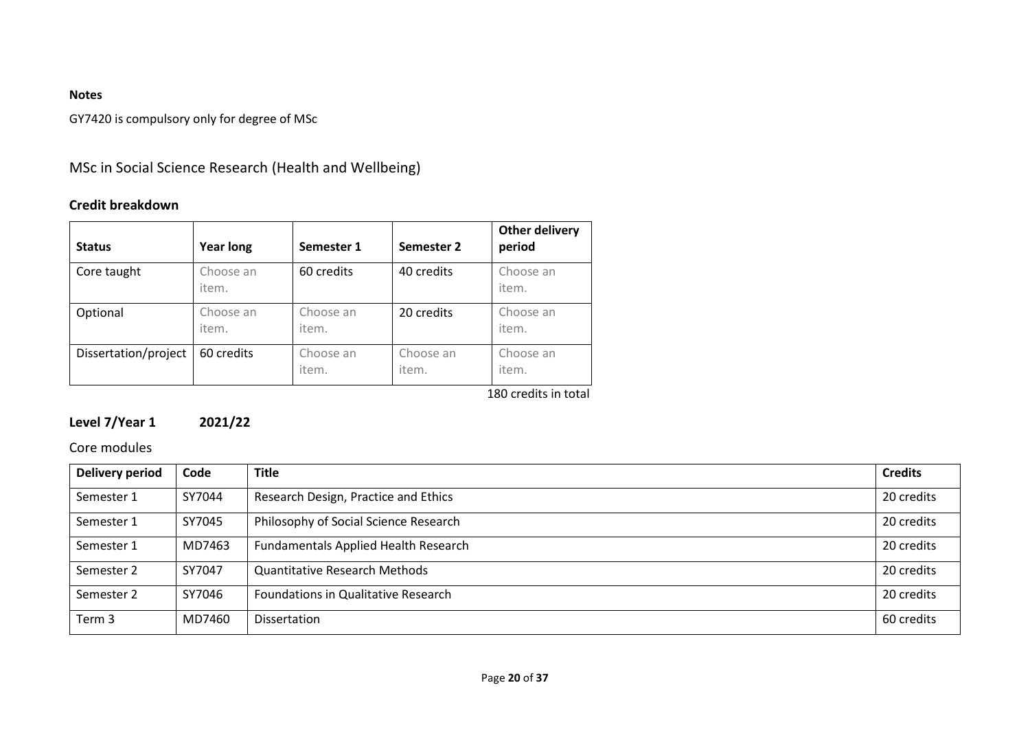GY7420 is compulsory only for degree of MSc

# MSc in Social Science Research (Health and Wellbeing)

## **Credit breakdown**

| <b>Status</b>        | <b>Year long</b>   | Semester 1         | Semester 2         | <b>Other delivery</b><br>period |
|----------------------|--------------------|--------------------|--------------------|---------------------------------|
| Core taught          | Choose an<br>item. | 60 credits         | 40 credits         | Choose an<br>item.              |
| Optional             | Choose an<br>item. | Choose an<br>item. | 20 credits         | Choose an<br>item.              |
| Dissertation/project | 60 credits         | Choose an<br>item. | Choose an<br>item. | Choose an<br>item.              |

180 credits in total

# **Level 7/Year 1 2021/22**

### Core modules

| <b>Delivery period</b> | Code   | <b>Title</b>                                | <b>Credits</b> |
|------------------------|--------|---------------------------------------------|----------------|
| Semester 1             | SY7044 | Research Design, Practice and Ethics        | 20 credits     |
| Semester 1             | SY7045 | Philosophy of Social Science Research       | 20 credits     |
| Semester 1             | MD7463 | <b>Fundamentals Applied Health Research</b> | 20 credits     |
| Semester 2             | SY7047 | <b>Quantitative Research Methods</b>        | 20 credits     |
| Semester 2             | SY7046 | Foundations in Qualitative Research         | 20 credits     |
| Term 3                 | MD7460 | Dissertation                                | 60 credits     |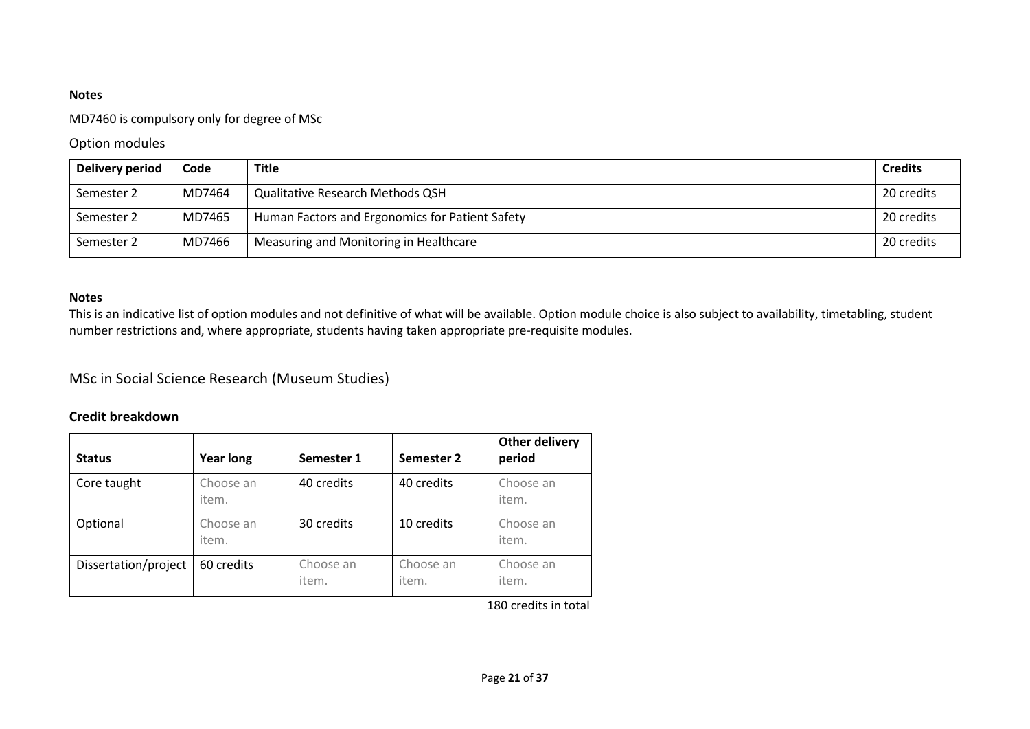#### MD7460 is compulsory only for degree of MSc

### Option modules

| Delivery period | Code   | <b>Title</b>                                    | <b>Credits</b> |
|-----------------|--------|-------------------------------------------------|----------------|
| Semester 2      | MD7464 | <b>Qualitative Research Methods QSH</b>         | 20 credits     |
| Semester 2      | MD7465 | Human Factors and Ergonomics for Patient Safety | 20 credits     |
| Semester 2      | MD7466 | Measuring and Monitoring in Healthcare          | 20 credits     |

#### **Notes**

This is an indicative list of option modules and not definitive of what will be available. Option module choice is also subject to availability, timetabling, student number restrictions and, where appropriate, students having taken appropriate pre-requisite modules.

# MSc in Social Science Research (Museum Studies)

### **Credit breakdown**

| 40 credits<br>40 credits<br>Core taught<br>Choose an<br>Choose an<br>item.<br>item.<br>30 credits<br>10 credits<br>Optional<br>Choose an<br>Choose an<br>item.<br>item.<br>Dissertation/project<br>Choose an<br>60 credits<br>Choose an<br>Choose an<br>item.<br>item.<br>item. | <b>Status</b> | <b>Year long</b> | Semester 1 | Semester 2 | Other delivery<br>period |
|---------------------------------------------------------------------------------------------------------------------------------------------------------------------------------------------------------------------------------------------------------------------------------|---------------|------------------|------------|------------|--------------------------|
|                                                                                                                                                                                                                                                                                 |               |                  |            |            |                          |
|                                                                                                                                                                                                                                                                                 |               |                  |            |            |                          |
|                                                                                                                                                                                                                                                                                 |               |                  |            |            |                          |

180 credits in total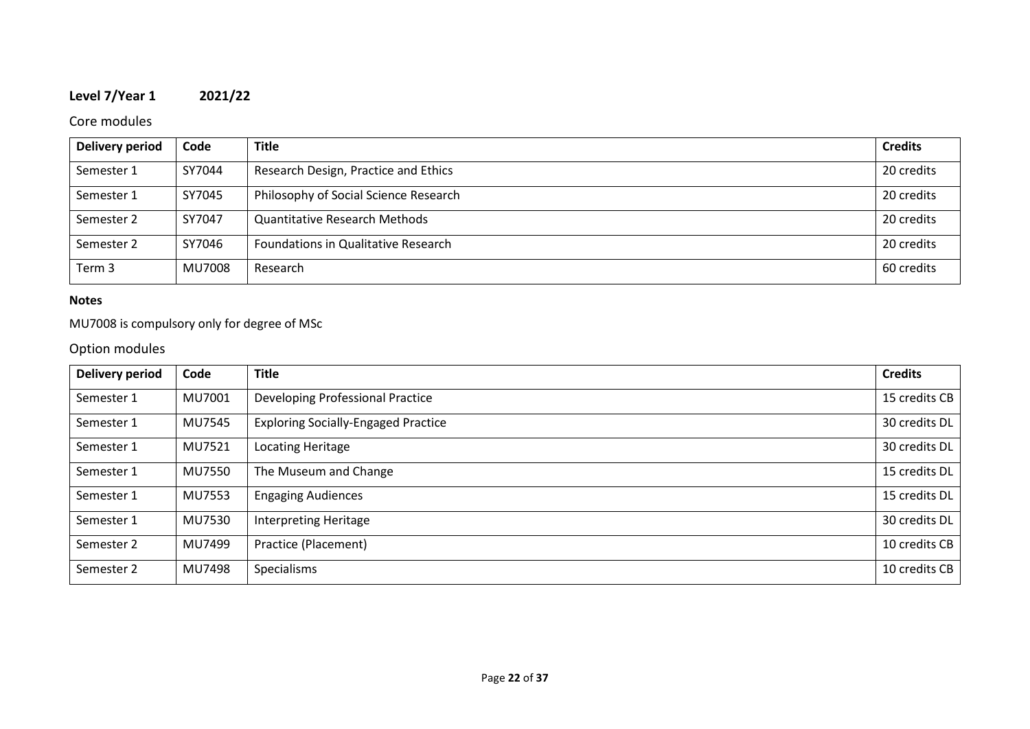# **Level 7/Year 1 2021/22**

### Core modules

| Delivery period | Code   | <b>Title</b>                          | <b>Credits</b> |
|-----------------|--------|---------------------------------------|----------------|
| Semester 1      | SY7044 | Research Design, Practice and Ethics  | 20 credits     |
| Semester 1      | SY7045 | Philosophy of Social Science Research | 20 credits     |
| Semester 2      | SY7047 | <b>Quantitative Research Methods</b>  | 20 credits     |
| Semester 2      | SY7046 | Foundations in Qualitative Research   | 20 credits     |
| Term 3          | MU7008 | Research                              | 60 credits     |

### **Notes**

### MU7008 is compulsory only for degree of MSc

# Option modules

| <b>Delivery period</b> | Code   | <b>Title</b>                               | <b>Credits</b> |
|------------------------|--------|--------------------------------------------|----------------|
| Semester 1             | MU7001 | Developing Professional Practice           | 15 credits CB  |
| Semester 1             | MU7545 | <b>Exploring Socially-Engaged Practice</b> | 30 credits DL  |
| Semester 1             | MU7521 | Locating Heritage                          | 30 credits DL  |
| Semester 1             | MU7550 | The Museum and Change                      | 15 credits DL  |
| Semester 1             | MU7553 | <b>Engaging Audiences</b>                  | 15 credits DL  |
| Semester 1             | MU7530 | Interpreting Heritage                      | 30 credits DL  |
| Semester 2             | MU7499 | Practice (Placement)                       | 10 credits CB  |
| Semester 2             | MU7498 | Specialisms                                | 10 credits CB  |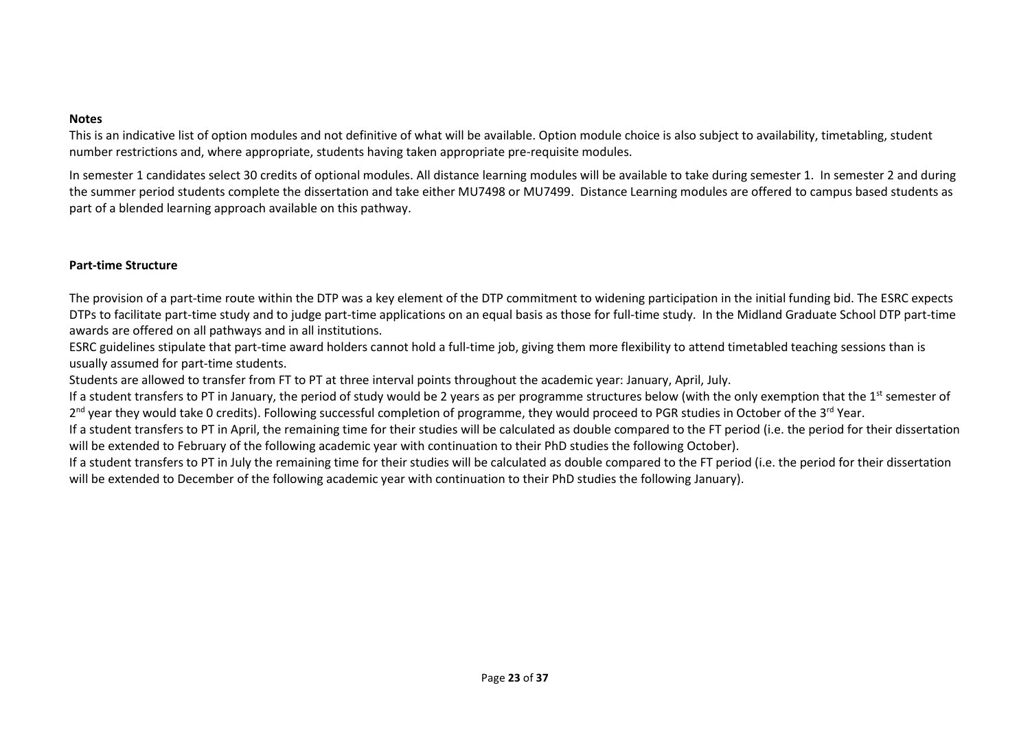This is an indicative list of option modules and not definitive of what will be available. Option module choice is also subject to availability, timetabling, student number restrictions and, where appropriate, students having taken appropriate pre-requisite modules.

In semester 1 candidates select 30 credits of optional modules. All distance learning modules will be available to take during semester 1. In semester 2 and during the summer period students complete the dissertation and take either MU7498 or MU7499. Distance Learning modules are offered to campus based students as part of a blended learning approach available on this pathway.

#### **Part-time Structure**

The provision of a part-time route within the DTP was a key element of the DTP commitment to widening participation in the initial funding bid. The ESRC expects DTPs to facilitate part-time study and to judge part-time applications on an equal basis as those for full-time study. In the Midland Graduate School DTP part-time awards are offered on all pathways and in all institutions.

ESRC guidelines stipulate that part-time award holders cannot hold a full-time job, giving them more flexibility to attend timetabled teaching sessions than is usually assumed for part-time students.

Students are allowed to transfer from FT to PT at three interval points throughout the academic year: January, April, July.

If a student transfers to PT in January, the period of study would be 2 years as per programme structures below (with the only exemption that the  $1^{st}$  semester of 2<sup>nd</sup> year they would take 0 credits). Following successful completion of programme, they would proceed to PGR studies in October of the 3<sup>rd</sup> Year.

If a student transfers to PT in April, the remaining time for their studies will be calculated as double compared to the FT period (i.e. the period for their dissertation will be extended to February of the following academic year with continuation to their PhD studies the following October).

If a student transfers to PT in July the remaining time for their studies will be calculated as double compared to the FT period (i.e. the period for their dissertation will be extended to December of the following academic year with continuation to their PhD studies the following January).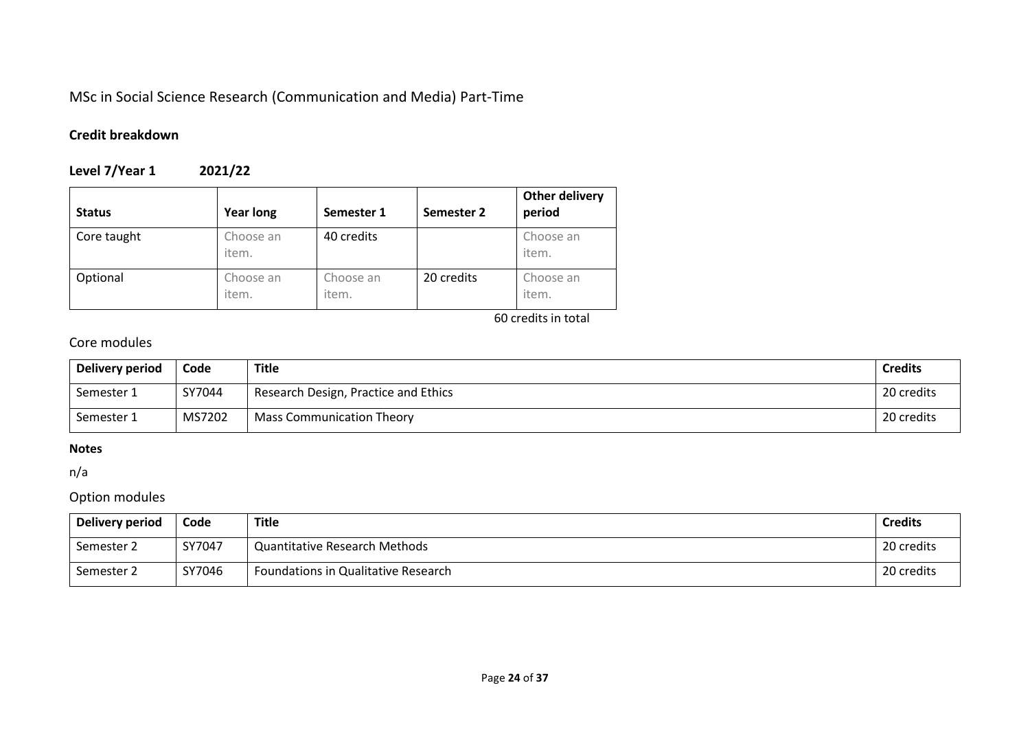# MSc in Social Science Research (Communication and Media) Part-Time

# **Credit breakdown**

# **Level 7/Year 1 2021/22**

| <b>Status</b> | <b>Year long</b>   | Semester 1         | Semester 2 | <b>Other delivery</b><br>period |
|---------------|--------------------|--------------------|------------|---------------------------------|
| Core taught   | Choose an<br>item. | 40 credits         |            | Choose an<br>item.              |
| Optional      | Choose an<br>item. | Choose an<br>item. | 20 credits | Choose an<br>item.              |

60 credits in total

# Core modules

| Delivery period | Code   | <b>Title</b>                         | <b>Credits</b> |
|-----------------|--------|--------------------------------------|----------------|
| Semester 1      | SY7044 | Research Design, Practice and Ethics | 20 credits     |
| Semester 1      | MS7202 | <b>Mass Communication Theory</b>     | 20 credits     |

#### **Notes**

n/a

### Option modules

| Delivery period | Code   | <b>Title</b>                         | <b>Credits</b> |
|-----------------|--------|--------------------------------------|----------------|
| Semester 2      | SY7047 | <b>Quantitative Research Methods</b> | 20 credits     |
| Semester 2      | SY7046 | Foundations in Qualitative Research  | 20 credits     |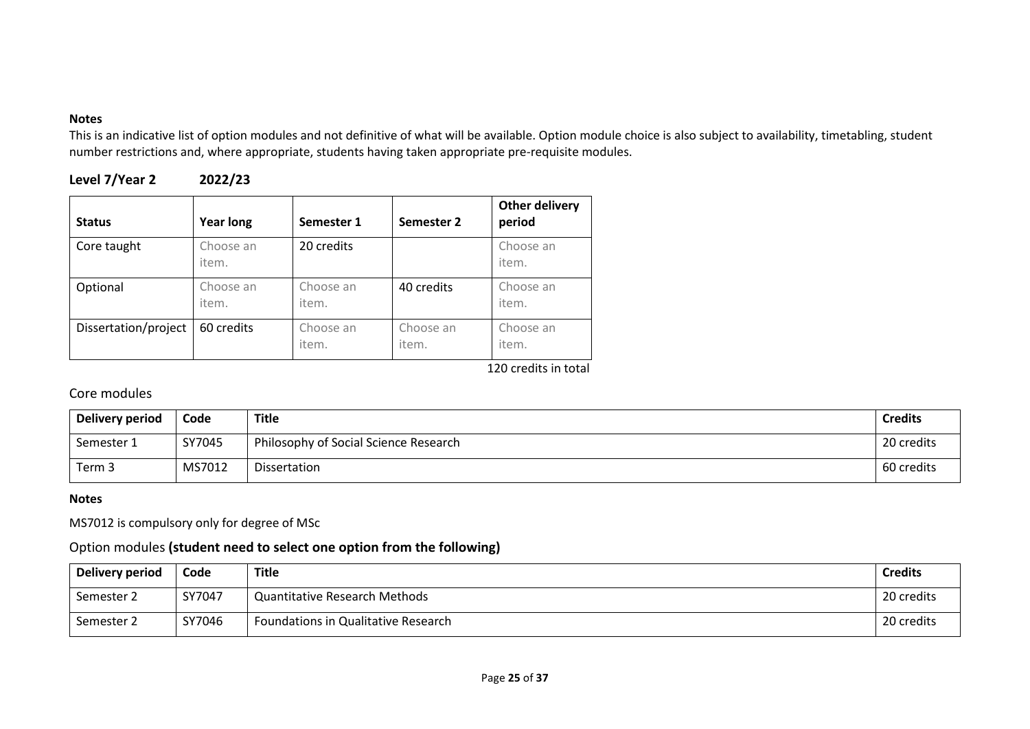This is an indicative list of option modules and not definitive of what will be available. Option module choice is also subject to availability, timetabling, student number restrictions and, where appropriate, students having taken appropriate pre-requisite modules.

| Level 7/Year 2 | 2022/23 |
|----------------|---------|
|----------------|---------|

| <b>Status</b>        | <b>Year long</b>   | Semester 1         | Semester 2         | <b>Other delivery</b><br>period |
|----------------------|--------------------|--------------------|--------------------|---------------------------------|
| Core taught          | Choose an<br>item. | 20 credits         |                    | Choose an<br>item.              |
| Optional             | Choose an<br>item. | Choose an<br>item. | 40 credits         | Choose an<br>item.              |
| Dissertation/project | 60 credits         | Choose an<br>item. | Choose an<br>item. | Choose an<br>item.              |

120 credits in total

# Core modules

| Delivery period | Code   | Title                                 | <b>Credits</b> |
|-----------------|--------|---------------------------------------|----------------|
| Semester 1      | SY7045 | Philosophy of Social Science Research | 20 credits     |
| Term 3          | MS7012 | Dissertation                          | 60 credits     |

#### **Notes**

MS7012 is compulsory only for degree of MSc

### Option modules **(student need to select one option from the following)**

| Delivery period | Code   | <b>Title</b>                         | <b>Credits</b> |
|-----------------|--------|--------------------------------------|----------------|
| Semester 2      | SY7047 | <b>Quantitative Research Methods</b> | 20 credits     |
| Semester 2      | SY7046 | Foundations in Qualitative Research  | 20 credits     |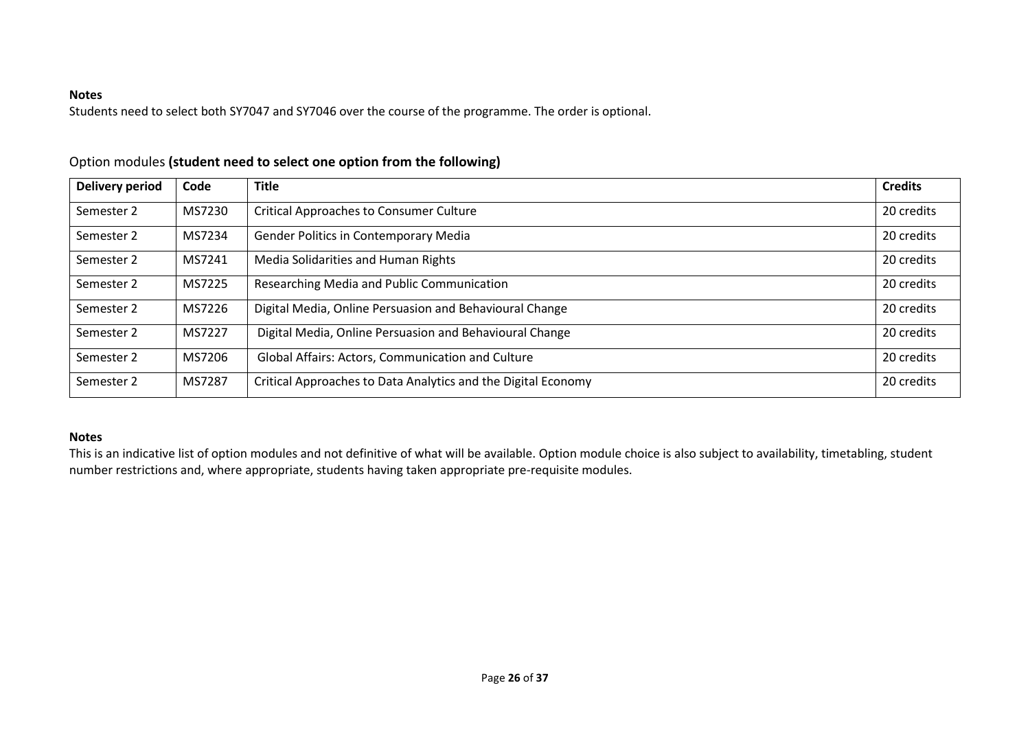Students need to select both SY7047 and SY7046 over the course of the programme. The order is optional.

| <b>Delivery period</b> | Code   | <b>Title</b>                                                  | <b>Credits</b> |
|------------------------|--------|---------------------------------------------------------------|----------------|
| Semester 2             | MS7230 | <b>Critical Approaches to Consumer Culture</b>                |                |
| Semester 2             | MS7234 | <b>Gender Politics in Contemporary Media</b>                  |                |
| Semester 2             | MS7241 | Media Solidarities and Human Rights                           |                |
| Semester 2             | MS7225 | Researching Media and Public Communication                    |                |
| Semester 2             | MS7226 | Digital Media, Online Persuasion and Behavioural Change       |                |
| Semester 2             | MS7227 | Digital Media, Online Persuasion and Behavioural Change       | 20 credits     |
| Semester 2             | MS7206 | Global Affairs: Actors, Communication and Culture             |                |
| Semester 2             | MS7287 | Critical Approaches to Data Analytics and the Digital Economy | 20 credits     |

### Option modules **(student need to select one option from the following)**

### **Notes**

This is an indicative list of option modules and not definitive of what will be available. Option module choice is also subject to availability, timetabling, student number restrictions and, where appropriate, students having taken appropriate pre-requisite modules.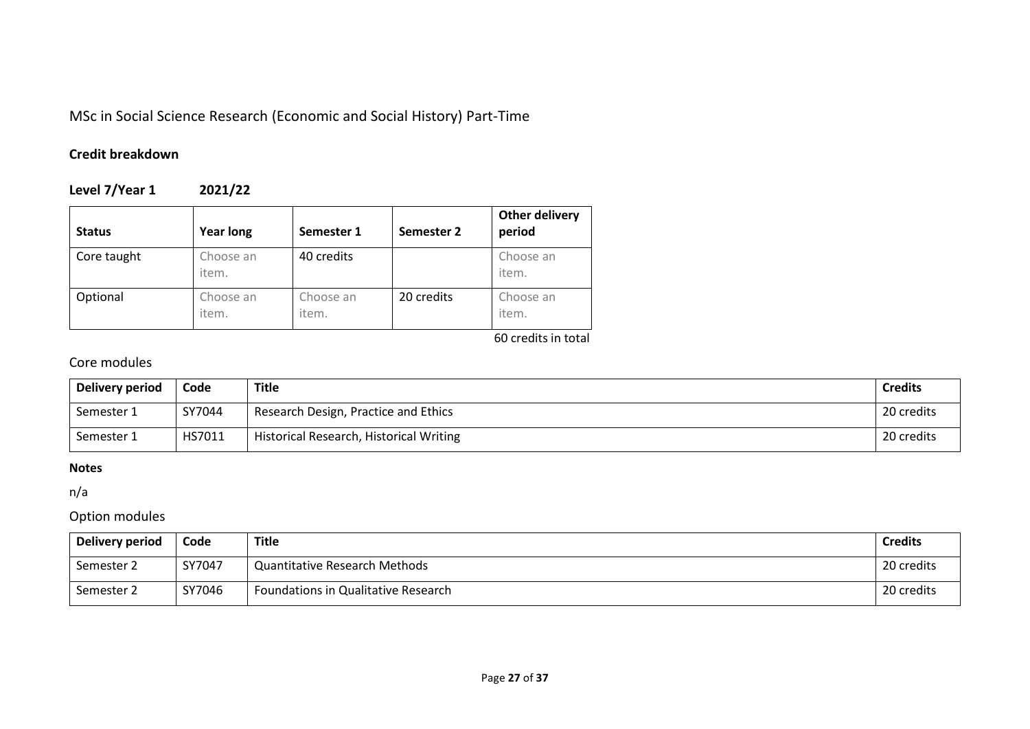# MSc in Social Science Research (Economic and Social History) Part-Time

# **Credit breakdown**

**Level 7/Year 1 2021/22**

| <b>Status</b> | Year long          | Semester 1         | Semester 2 | <b>Other delivery</b><br>period |
|---------------|--------------------|--------------------|------------|---------------------------------|
| Core taught   | Choose an<br>item. | 40 credits         |            | Choose an<br>item.              |
| Optional      | Choose an<br>item. | Choose an<br>item. | 20 credits | Choose an<br>item.              |

60 credits in total

# Core modules

| Delivery period | Code   | Title                                   | <b>Credits</b> |
|-----------------|--------|-----------------------------------------|----------------|
| Semester 1      | SY7044 | Research Design, Practice and Ethics    | 20 credits     |
| Semester 1      | HS7011 | Historical Research, Historical Writing | 20 credits     |

### **Notes**

n/a

# Option modules

| Delivery period | Code   | <b>Title</b>                         | <b>Credits</b> |
|-----------------|--------|--------------------------------------|----------------|
| Semester 2      | SY7047 | <b>Quantitative Research Methods</b> | 20 credits     |
| Semester 2      | SY7046 | Foundations in Qualitative Research  | 20 credits     |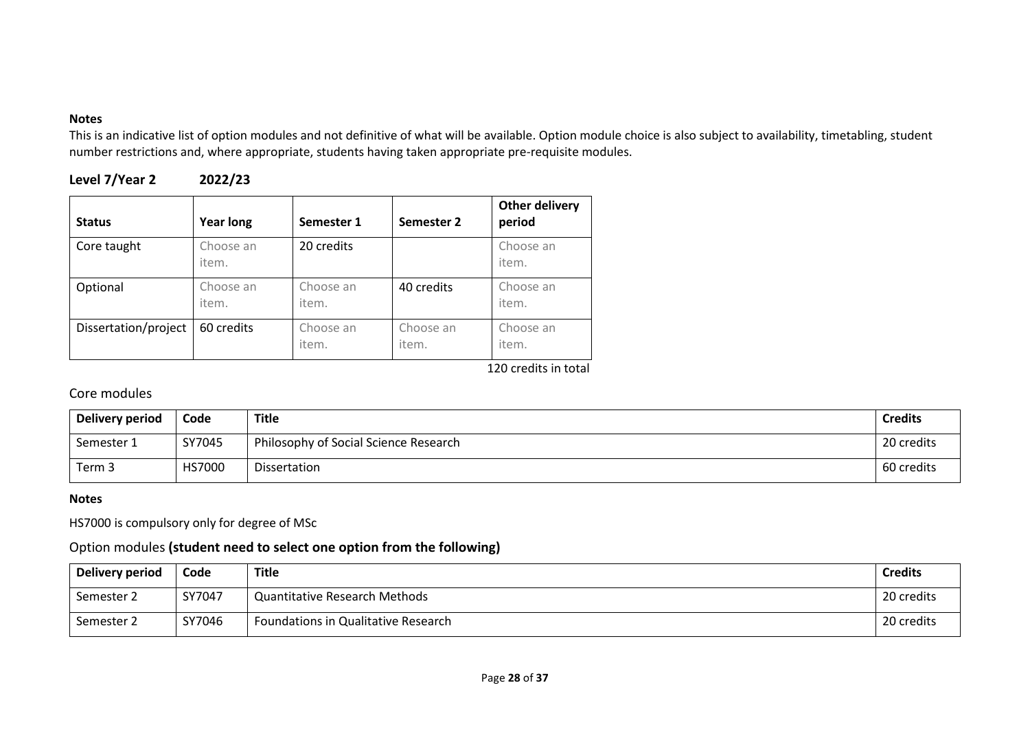This is an indicative list of option modules and not definitive of what will be available. Option module choice is also subject to availability, timetabling, student number restrictions and, where appropriate, students having taken appropriate pre-requisite modules.

| Level 7/Year 2 | 2022/23 |
|----------------|---------|
|----------------|---------|

| <b>Status</b>        | <b>Year long</b>   | Semester 1         | Semester 2         | <b>Other delivery</b><br>period |
|----------------------|--------------------|--------------------|--------------------|---------------------------------|
| Core taught          | Choose an<br>item. | 20 credits         |                    | Choose an<br>item.              |
| Optional             | Choose an<br>item. | Choose an<br>item. | 40 credits         | Choose an<br>item.              |
| Dissertation/project | 60 credits         | Choose an<br>item. | Choose an<br>item. | Choose an<br>item.              |

120 credits in total

# Core modules

| Delivery period | Code          | Title                                 | <b>Credits</b> |
|-----------------|---------------|---------------------------------------|----------------|
| Semester 1      | SY7045        | Philosophy of Social Science Research | 20 credits     |
| Term 3          | <b>HS7000</b> | Dissertation                          | 60 credits     |

### **Notes**

HS7000 is compulsory only for degree of MSc

### Option modules **(student need to select one option from the following)**

| Delivery period | Code   | Title                                | <b>Credits</b> |
|-----------------|--------|--------------------------------------|----------------|
| Semester 2      | SY7047 | <b>Quantitative Research Methods</b> | 20 credits     |
| Semester 2      | SY7046 | Foundations in Qualitative Research  | 20 credits     |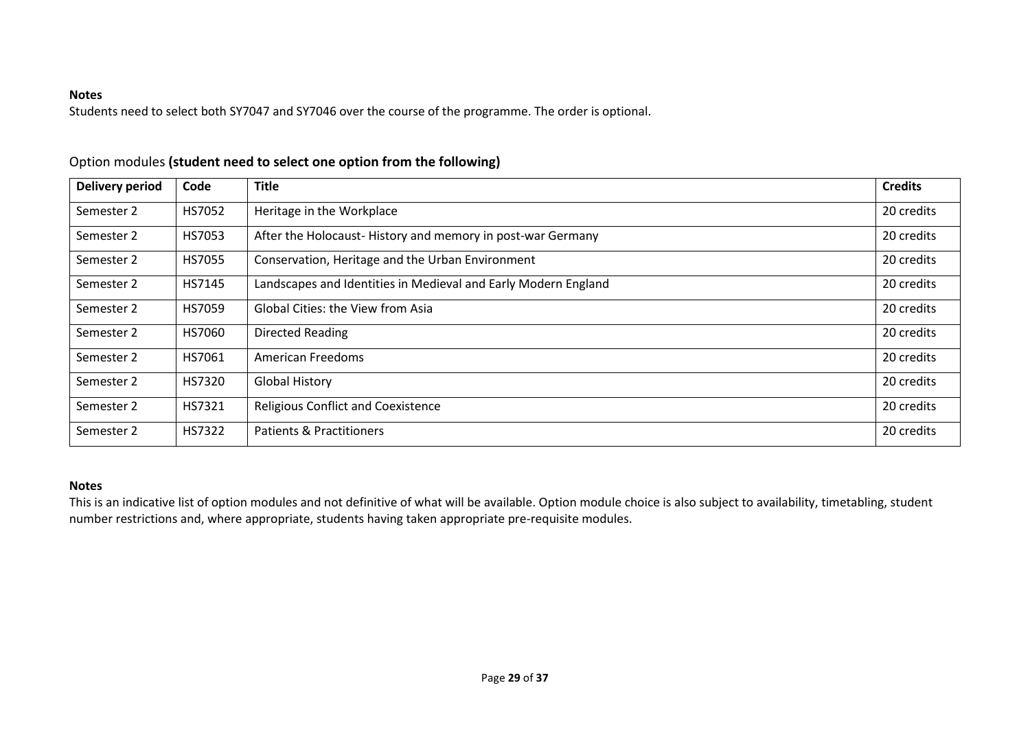Students need to select both SY7047 and SY7046 over the course of the programme. The order is optional.

| <b>Delivery period</b> | Code          | <b>Title</b>                                                   | <b>Credits</b> |
|------------------------|---------------|----------------------------------------------------------------|----------------|
| Semester 2             | HS7052        | Heritage in the Workplace                                      | 20 credits     |
| Semester 2             | HS7053        | After the Holocaust-History and memory in post-war Germany     | 20 credits     |
| Semester 2             | <b>HS7055</b> | Conservation, Heritage and the Urban Environment               | 20 credits     |
| Semester 2             | HS7145        | Landscapes and Identities in Medieval and Early Modern England | 20 credits     |
| Semester 2             | <b>HS7059</b> | Global Cities: the View from Asia                              | 20 credits     |
| Semester 2             | HS7060        | Directed Reading                                               | 20 credits     |
| Semester 2             | HS7061        | American Freedoms                                              | 20 credits     |
| Semester 2             | HS7320        | <b>Global History</b>                                          | 20 credits     |
| Semester 2             | HS7321        | <b>Religious Conflict and Coexistence</b>                      | 20 credits     |
| Semester 2             | HS7322        | <b>Patients &amp; Practitioners</b>                            | 20 credits     |

### Option modules **(student need to select one option from the following)**

#### **Notes**

This is an indicative list of option modules and not definitive of what will be available. Option module choice is also subject to availability, timetabling, student number restrictions and, where appropriate, students having taken appropriate pre-requisite modules.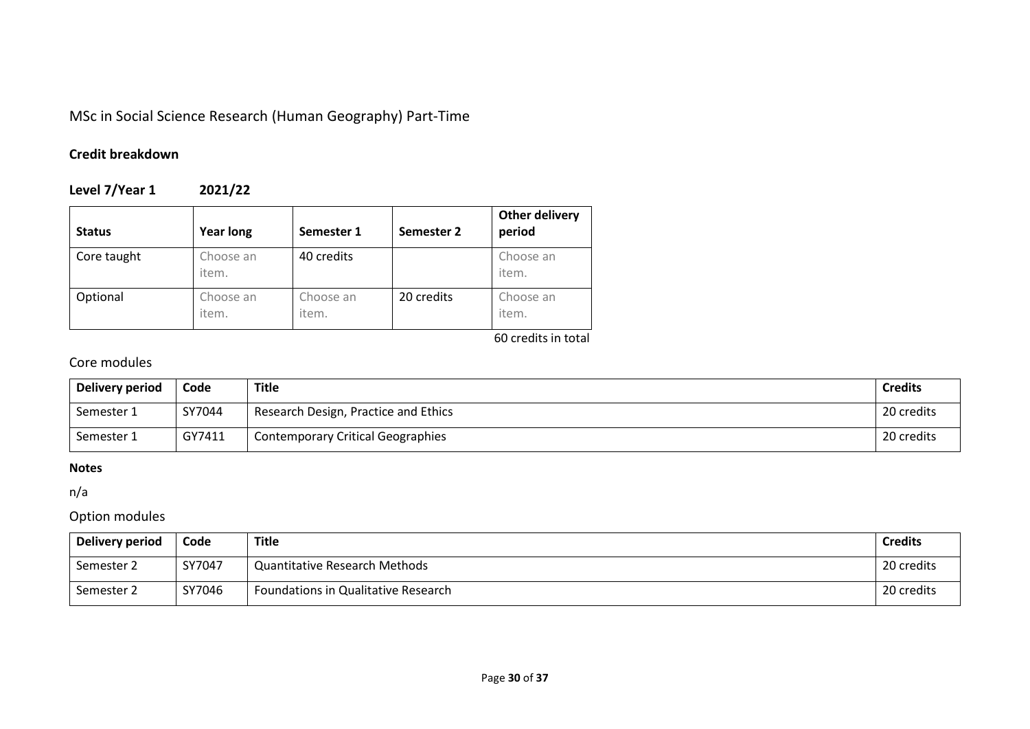MSc in Social Science Research (Human Geography) Part-Time

# **Credit breakdown**

**Level 7/Year 1 2021/22**

| <b>Status</b> | <b>Year long</b>   | Semester 1         | Semester 2 | <b>Other delivery</b><br>period |
|---------------|--------------------|--------------------|------------|---------------------------------|
| Core taught   | Choose an<br>item. | 40 credits         |            | Choose an<br>item.              |
| Optional      | Choose an<br>item. | Choose an<br>item. | 20 credits | Choose an<br>item.              |

60 credits in total

# Core modules

| Delivery period | Code   | Title                                    | <b>Credits</b> |
|-----------------|--------|------------------------------------------|----------------|
| Semester 1      | SY7044 | Research Design, Practice and Ethics     | 20 credits     |
| Semester 1      | GY7411 | <b>Contemporary Critical Geographies</b> | 20 credits     |

### **Notes**

n/a

# Option modules

| Delivery period | Code   | Title                               | <b>Credits</b> |
|-----------------|--------|-------------------------------------|----------------|
| Semester 2      | SY7047 | Quantitative Research Methods       | 20 credits     |
| Semester 2      | SY7046 | Foundations in Qualitative Research | 20 credits     |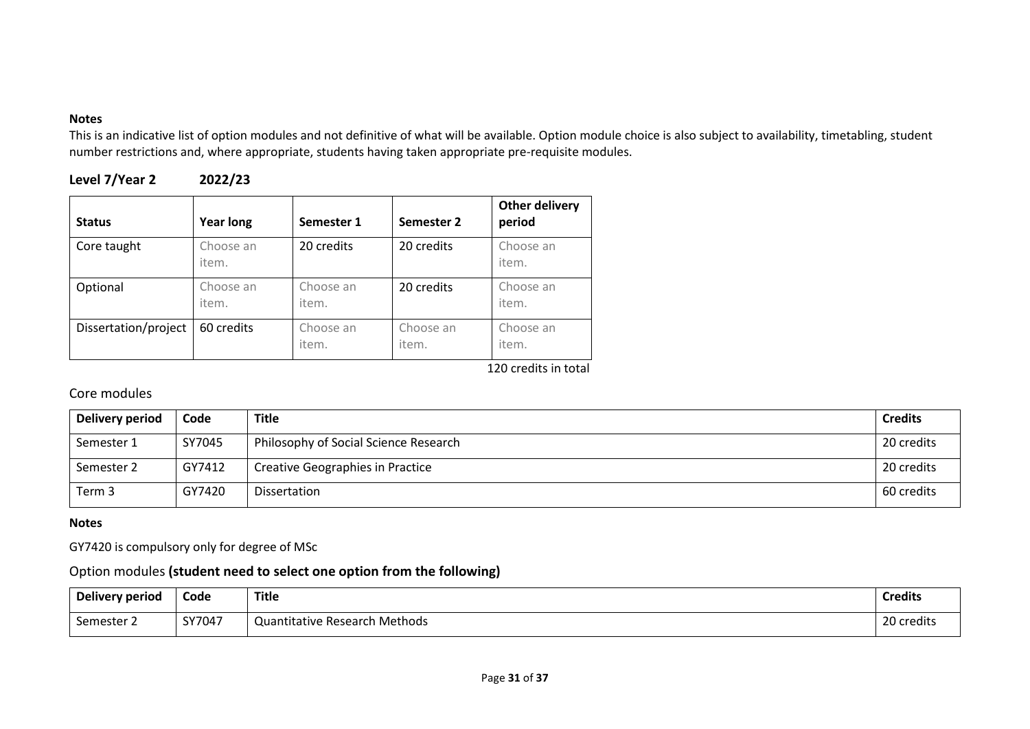This is an indicative list of option modules and not definitive of what will be available. Option module choice is also subject to availability, timetabling, student number restrictions and, where appropriate, students having taken appropriate pre-requisite modules.

| Level 7/Year 2 | 2022/23 |
|----------------|---------|
|----------------|---------|

| <b>Status</b>        | <b>Year long</b>   | Semester 1         | Semester 2         | <b>Other delivery</b><br>period |
|----------------------|--------------------|--------------------|--------------------|---------------------------------|
| Core taught          | Choose an<br>item. | 20 credits         | 20 credits         | Choose an<br>item.              |
| Optional             | Choose an<br>item. | Choose an<br>item. | 20 credits         | Choose an<br>item.              |
| Dissertation/project | 60 credits         | Choose an<br>item. | Choose an<br>item. | Choose an<br>item.              |

120 credits in total

# Core modules

| Delivery period | Code   | <b>Title</b>                            | <b>Credits</b> |
|-----------------|--------|-----------------------------------------|----------------|
| Semester 1      | SY7045 | Philosophy of Social Science Research   | 20 credits     |
| Semester 2      | GY7412 | <b>Creative Geographies in Practice</b> | 20 credits     |
| Term 3          | GY7420 | Dissertation                            | 60 credits     |

#### **Notes**

GY7420 is compulsory only for degree of MSc

### Option modules **(student need to select one option from the following)**

| Delivery period | Code   | <b>Title</b>                         | <b>Credits</b> |
|-----------------|--------|--------------------------------------|----------------|
| Semester 2      | SY7047 | <b>Quantitative Research Methods</b> | 20 credits     |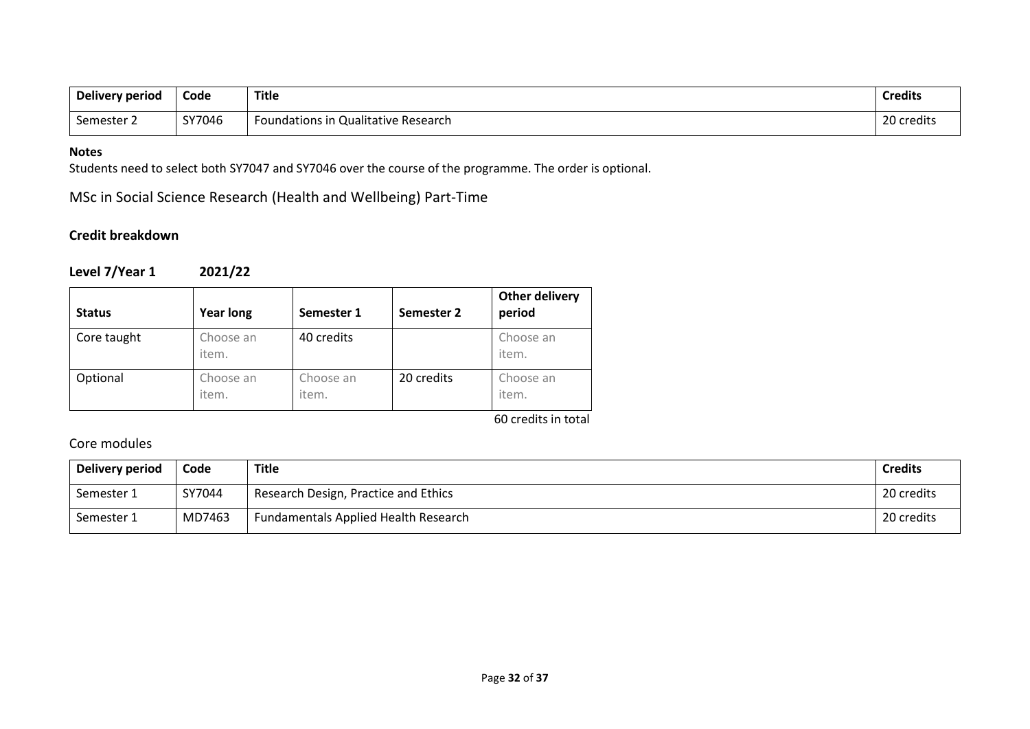| Delivery period | Code   | <b>Title</b>                        | Credit.        |
|-----------------|--------|-------------------------------------|----------------|
| semester i      | SY7046 | Foundations in Qualitative Research | ົາດ<br>credits |

Students need to select both SY7047 and SY7046 over the course of the programme. The order is optional.

MSc in Social Science Research (Health and Wellbeing) Part-Time

### **Credit breakdown**

**Level 7/Year 1 2021/22**

| <b>Status</b> | <b>Year long</b>   | Semester 1         | Semester 2 | <b>Other delivery</b><br>period |
|---------------|--------------------|--------------------|------------|---------------------------------|
| Core taught   | Choose an<br>item. | 40 credits         |            | Choose an<br>item.              |
| Optional      | Choose an<br>item. | Choose an<br>item. | 20 credits | Choose an<br>item.              |

60 credits in total

### Core modules

| Delivery period | Code   | <b>Title</b>                                | <b>Credits</b> |
|-----------------|--------|---------------------------------------------|----------------|
| Semester 1      | SY7044 | Research Design, Practice and Ethics        | 20 credits     |
| Semester 1      | MD7463 | <b>Fundamentals Applied Health Research</b> | 20 credits     |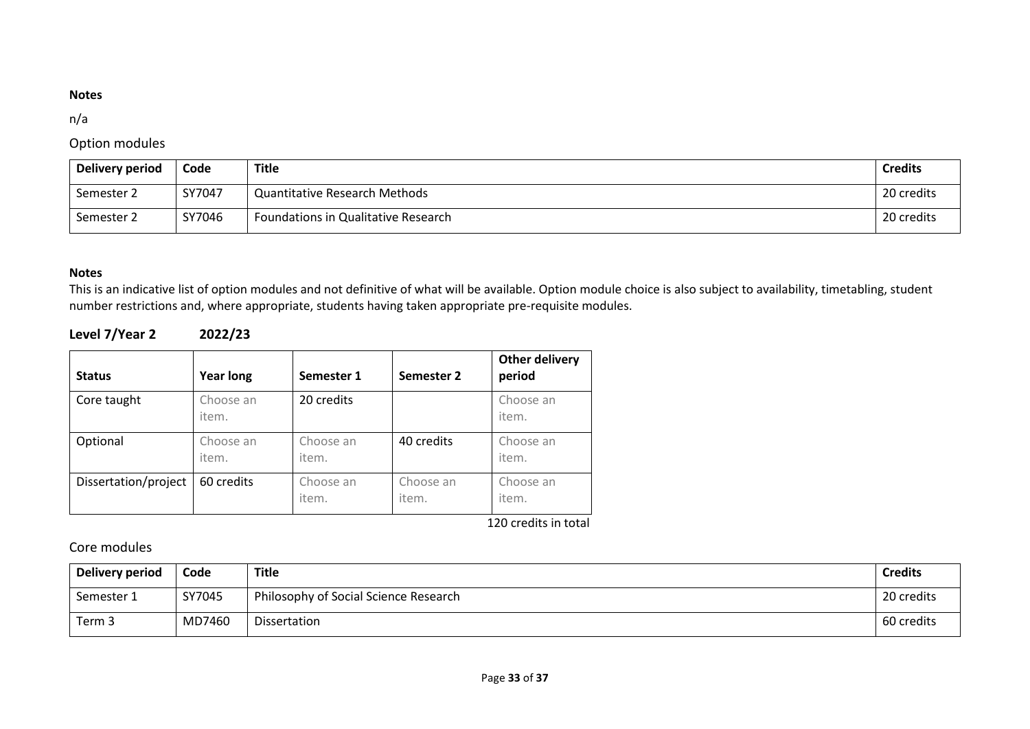### n/a

### Option modules

| Delivery period | Code   | Title                                | <b>Credits</b> |
|-----------------|--------|--------------------------------------|----------------|
| Semester 2      | SY7047 | <b>Quantitative Research Methods</b> | 20 credits     |
| Semester 2      | SY7046 | Foundations in Qualitative Research  | 20 credits     |

### **Notes**

This is an indicative list of option modules and not definitive of what will be available. Option module choice is also subject to availability, timetabling, student number restrictions and, where appropriate, students having taken appropriate pre-requisite modules.

### **Level 7/Year 2 2022/23**

| <b>Status</b>        | <b>Year long</b>   | Semester 1         | Semester 2         | <b>Other delivery</b><br>period |
|----------------------|--------------------|--------------------|--------------------|---------------------------------|
| Core taught          | Choose an<br>item. | 20 credits         |                    | Choose an<br>item.              |
| Optional             | Choose an<br>item. | Choose an<br>item. | 40 credits         | Choose an<br>item.              |
| Dissertation/project | 60 credits         | Choose an<br>item. | Choose an<br>item. | Choose an<br>item.              |

120 credits in total

### Core modules

| Delivery period | Code   | <b>Title</b>                          | <b>Credits</b> |
|-----------------|--------|---------------------------------------|----------------|
| Semester 1      | SY7045 | Philosophy of Social Science Research | 20 credits     |
| Term 3          | MD7460 | Dissertation                          | 60 credits     |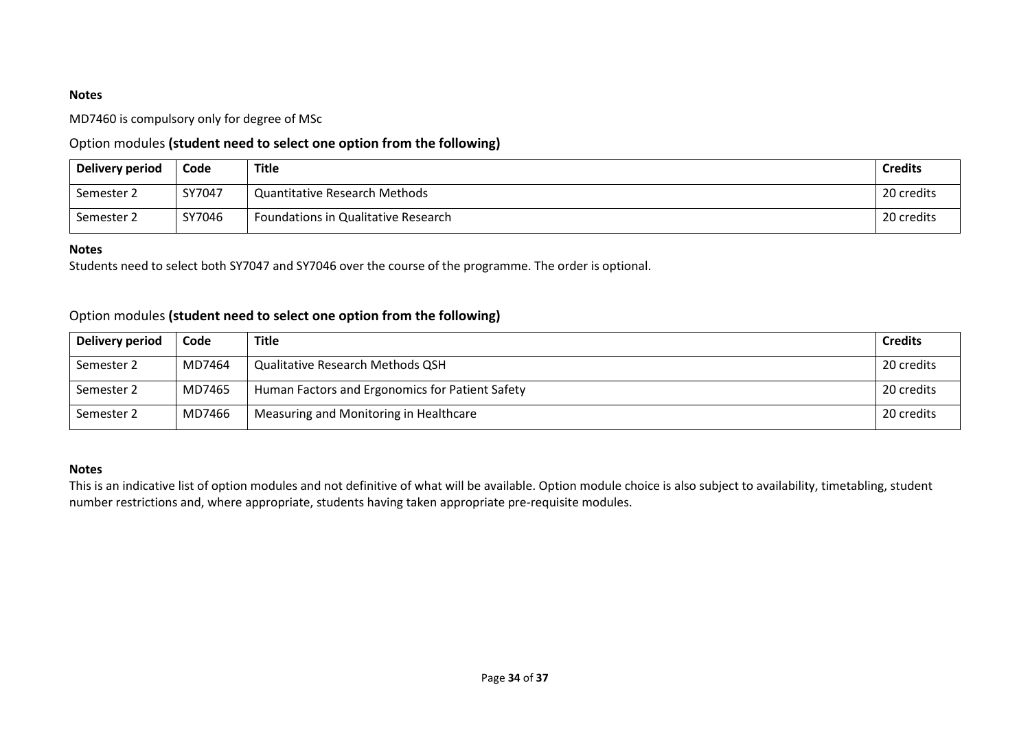MD7460 is compulsory only for degree of MSc

### Option modules **(student need to select one option from the following)**

| Delivery period | Code   | Title                                | <b>Credits</b> |
|-----------------|--------|--------------------------------------|----------------|
| Semester 2      | SY7047 | <b>Quantitative Research Methods</b> | 20 credits     |
| Semester 2      | SY7046 | Foundations in Qualitative Research  | 20 credits     |

#### **Notes**

Students need to select both SY7047 and SY7046 over the course of the programme. The order is optional.

### Option modules **(student need to select one option from the following)**

| Delivery period | Code   | <b>Title</b>                                    | <b>Credits</b> |
|-----------------|--------|-------------------------------------------------|----------------|
| Semester 2      | MD7464 | <b>Qualitative Research Methods QSH</b>         | 20 credits     |
| Semester 2      | MD7465 | Human Factors and Ergonomics for Patient Safety | 20 credits     |
| Semester 2      | MD7466 | Measuring and Monitoring in Healthcare          | 20 credits     |

#### **Notes**

This is an indicative list of option modules and not definitive of what will be available. Option module choice is also subject to availability, timetabling, student number restrictions and, where appropriate, students having taken appropriate pre-requisite modules.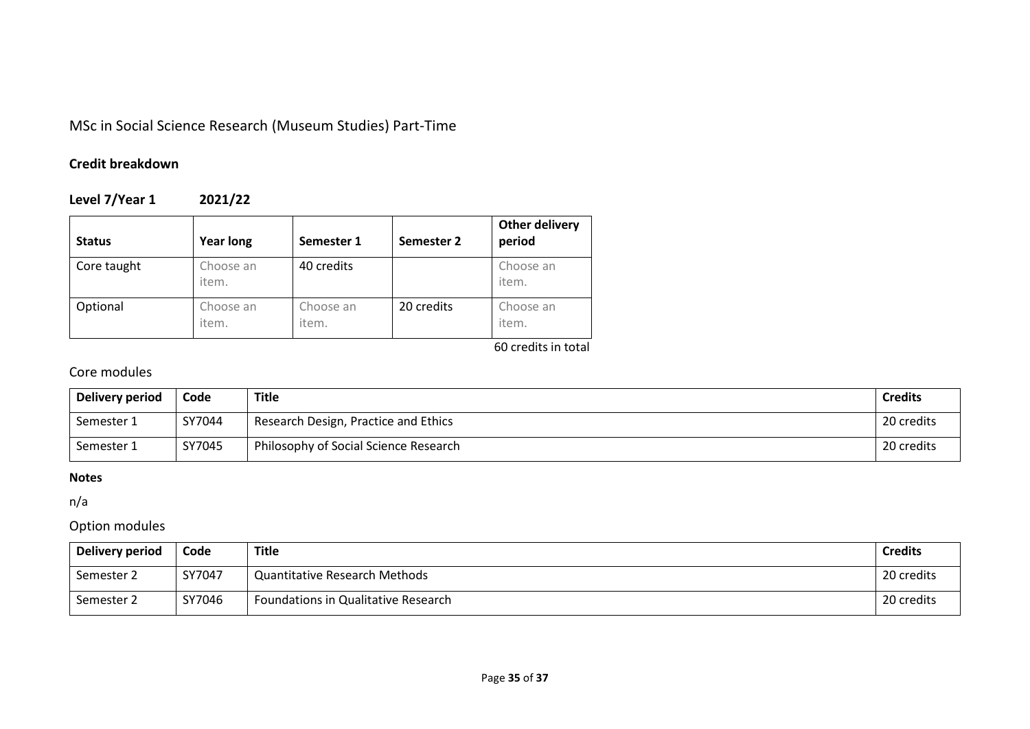# MSc in Social Science Research (Museum Studies) Part-Time

# **Credit breakdown**

# **Level 7/Year 1 2021/22**

| <b>Status</b> | <b>Year long</b>   | Semester 1         | Semester 2 | <b>Other delivery</b><br>period |
|---------------|--------------------|--------------------|------------|---------------------------------|
| Core taught   | Choose an<br>item. | 40 credits         |            | Choose an<br>item.              |
| Optional      | Choose an<br>item. | Choose an<br>item. | 20 credits | Choose an<br>item.              |

60 credits in total

# Core modules

| Delivery period | Code   | <b>Title</b>                          | <b>Credits</b> |
|-----------------|--------|---------------------------------------|----------------|
| Semester 1      | SY7044 | Research Design, Practice and Ethics  | 20 credits     |
| Semester 1      | SY7045 | Philosophy of Social Science Research | 20 credits     |

### **Notes**

n/a

### Option modules

| Delivery period | Code   | Title                                | <b>Credits</b> |
|-----------------|--------|--------------------------------------|----------------|
| Semester 2      | SY7047 | <b>Quantitative Research Methods</b> | 20 credits     |
| Semester 2      | SY7046 | Foundations in Qualitative Research  | 20 credits     |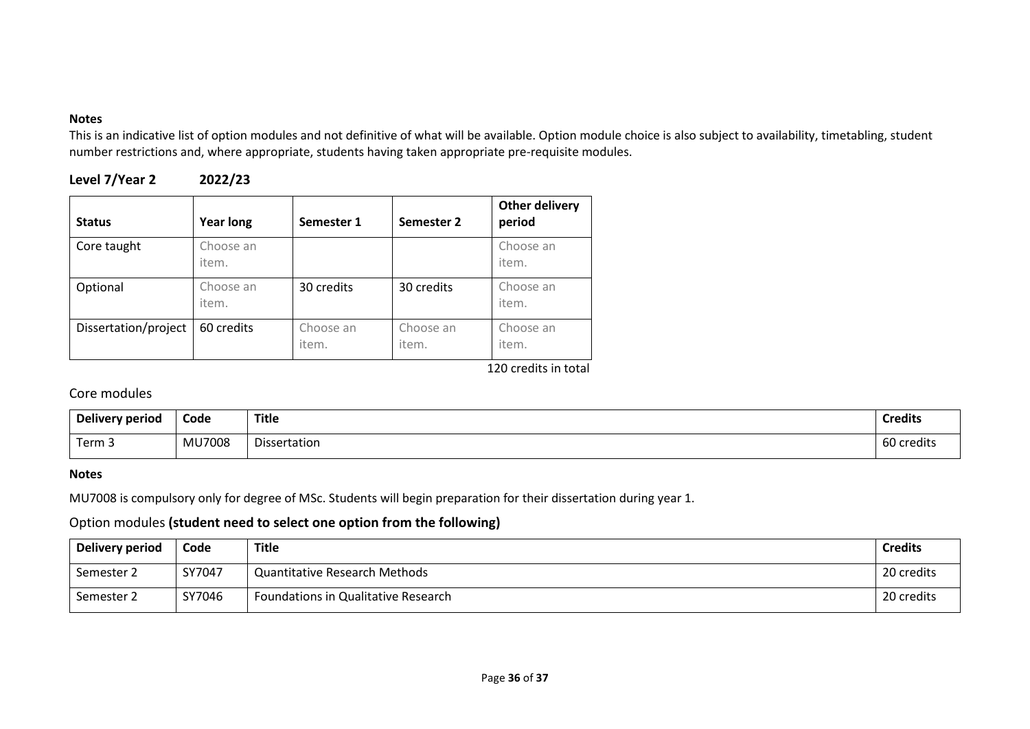This is an indicative list of option modules and not definitive of what will be available. Option module choice is also subject to availability, timetabling, student number restrictions and, where appropriate, students having taken appropriate pre-requisite modules.

| Level 7/Year 2 | 2022/23 |
|----------------|---------|
|----------------|---------|

| <b>Status</b>        | <b>Year long</b>   | Semester 1         | Semester 2         | <b>Other delivery</b><br>period |
|----------------------|--------------------|--------------------|--------------------|---------------------------------|
| Core taught          | Choose an<br>item. |                    |                    | Choose an<br>item.              |
| Optional             | Choose an<br>item. | 30 credits         | 30 credits         | Choose an<br>item.              |
| Dissertation/project | 60 credits         | Choose an<br>item. | Choose an<br>item. | Choose an<br>item.              |

120 credits in total

# Core modules

| Delivery period | Code          | <b>Title</b> | <b>Credits</b> |
|-----------------|---------------|--------------|----------------|
| Term 3          | <b>MU7008</b> | Dissertation | 60 credits     |

#### **Notes**

MU7008 is compulsory only for degree of MSc. Students will begin preparation for their dissertation during year 1.

### Option modules **(student need to select one option from the following)**

| Delivery period | Code   | <b>Title</b>                         | <b>Credits</b> |
|-----------------|--------|--------------------------------------|----------------|
| Semester 2      | SY7047 | <b>Quantitative Research Methods</b> | 20 credits     |
| Semester 2      | SY7046 | Foundations in Qualitative Research  | 20 credits     |